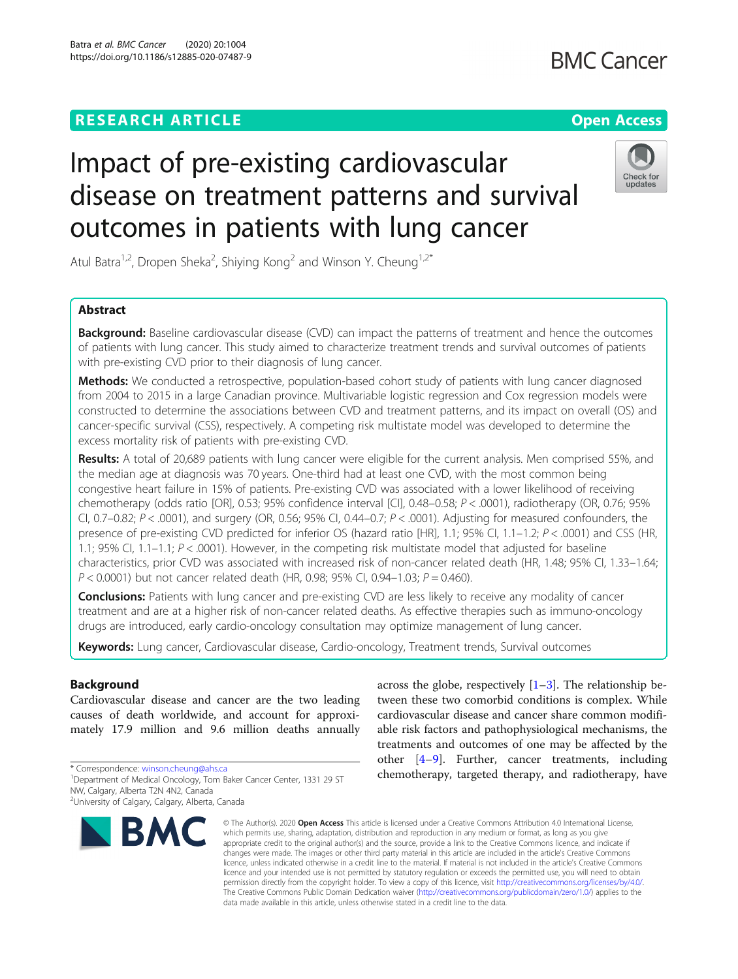## **RESEARCH ARTICLE Example 2014 12:30 The Contract of Contract ACCESS**

# **BMC Cancer**

# Check for updates

Atul Batra<sup>1,2</sup>, Dropen Sheka<sup>2</sup>, Shiying Kong<sup>2</sup> and Winson Y. Cheung<sup>1,2\*</sup>

Impact of pre-existing cardiovascular

outcomes in patients with lung cancer

disease on treatment patterns and survival

### Abstract

**Background:** Baseline cardiovascular disease (CVD) can impact the patterns of treatment and hence the outcomes of patients with lung cancer. This study aimed to characterize treatment trends and survival outcomes of patients with pre-existing CVD prior to their diagnosis of lung cancer.

Methods: We conducted a retrospective, population-based cohort study of patients with lung cancer diagnosed from 2004 to 2015 in a large Canadian province. Multivariable logistic regression and Cox regression models were constructed to determine the associations between CVD and treatment patterns, and its impact on overall (OS) and cancer-specific survival (CSS), respectively. A competing risk multistate model was developed to determine the excess mortality risk of patients with pre-existing CVD.

Results: A total of 20,689 patients with lung cancer were eligible for the current analysis. Men comprised 55%, and the median age at diagnosis was 70 years. One-third had at least one CVD, with the most common being congestive heart failure in 15% of patients. Pre-existing CVD was associated with a lower likelihood of receiving chemotherapy (odds ratio [OR], 0.53; 95% confidence interval [CI], 0.48–0.58; P < .0001), radiotherapy (OR, 0.76; 95% CI, 0.7–0.82;  $P < .0001$ ), and surgery (OR, 0.56; 95% CI, 0.44–0.7;  $P < .0001$ ). Adjusting for measured confounders, the presence of pre-existing CVD predicted for inferior OS (hazard ratio [HR], 1.1; 95% CI, 1.1–1.2; P < .0001) and CSS (HR, 1.1; 95% CI, 1.1–1.1;  $P <$  .0001). However, in the competing risk multistate model that adjusted for baseline characteristics, prior CVD was associated with increased risk of non-cancer related death (HR, 1.48; 95% CI, 1.33–1.64;  $P < 0.0001$ ) but not cancer related death (HR, 0.98; 95% CI, 0.94-1.03;  $P = 0.460$ ).

**Conclusions:** Patients with lung cancer and pre-existing CVD are less likely to receive any modality of cancer treatment and are at a higher risk of non-cancer related deaths. As effective therapies such as immuno-oncology drugs are introduced, early cardio-oncology consultation may optimize management of lung cancer.

Keywords: Lung cancer, Cardiovascular disease, Cardio-oncology, Treatment trends, Survival outcomes

### Background

Cardiovascular disease and cancer are the two leading causes of death worldwide, and account for approximately 17.9 million and 9.6 million deaths annually

\* Correspondence: [winson.cheung@ahs.ca](mailto:winson.cheung@ahs.ca) <sup>1</sup>

<sup>2</sup>University of Calgary, Calgary, Alberta, Canada



across the globe, respectively  $[1-3]$  $[1-3]$  $[1-3]$  $[1-3]$ . The relationship between these two comorbid conditions is complex. While cardiovascular disease and cancer share common modifiable risk factors and pathophysiological mechanisms, the treatments and outcomes of one may be affected by the other [\[4](#page-14-0)–[9](#page-14-0)]. Further, cancer treatments, including chemotherapy, targeted therapy, and radiotherapy, have

© The Author(s), 2020 **Open Access** This article is licensed under a Creative Commons Attribution 4.0 International License, which permits use, sharing, adaptation, distribution and reproduction in any medium or format, as long as you give appropriate credit to the original author(s) and the source, provide a link to the Creative Commons licence, and indicate if changes were made. The images or other third party material in this article are included in the article's Creative Commons licence, unless indicated otherwise in a credit line to the material. If material is not included in the article's Creative Commons licence and your intended use is not permitted by statutory regulation or exceeds the permitted use, you will need to obtain permission directly from the copyright holder. To view a copy of this licence, visit [http://creativecommons.org/licenses/by/4.0/.](http://creativecommons.org/licenses/by/4.0/) The Creative Commons Public Domain Dedication waiver [\(http://creativecommons.org/publicdomain/zero/1.0/](http://creativecommons.org/publicdomain/zero/1.0/)) applies to the data made available in this article, unless otherwise stated in a credit line to the data.

<sup>&</sup>lt;sup>1</sup>Department of Medical Oncology, Tom Baker Cancer Center, 1331 29 ST NW, Calgary, Alberta T2N 4N2, Canada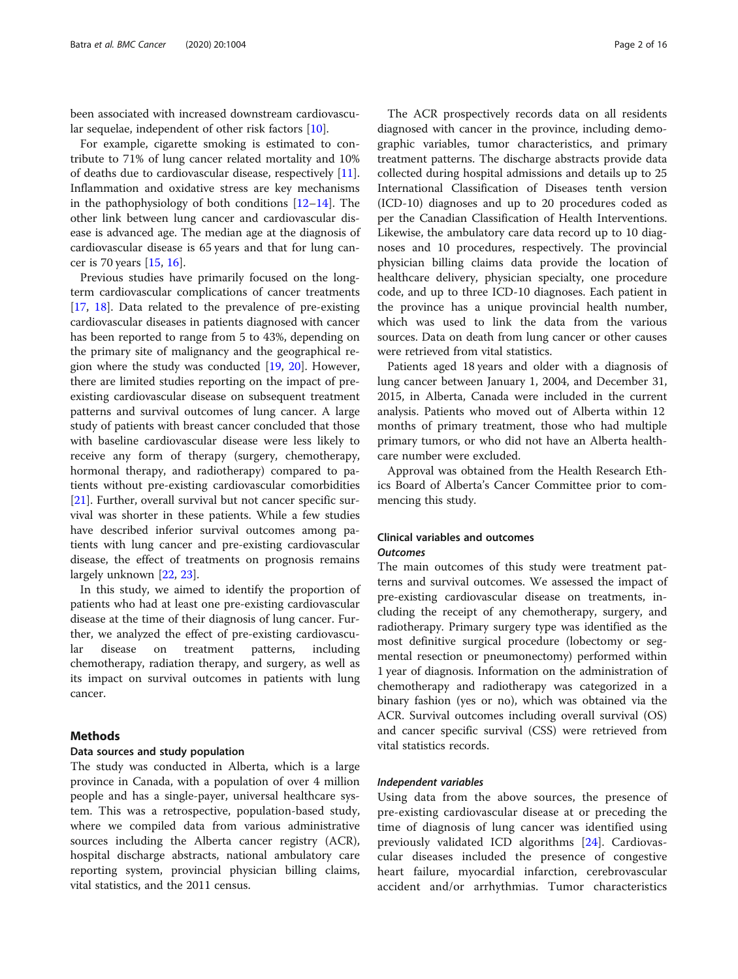been associated with increased downstream cardiovascular sequelae, independent of other risk factors [[10](#page-14-0)].

For example, cigarette smoking is estimated to contribute to 71% of lung cancer related mortality and 10% of deaths due to cardiovascular disease, respectively [\[11](#page-14-0)]. Inflammation and oxidative stress are key mechanisms in the pathophysiology of both conditions  $[12-14]$  $[12-14]$  $[12-14]$  $[12-14]$  $[12-14]$ . The other link between lung cancer and cardiovascular disease is advanced age. The median age at the diagnosis of cardiovascular disease is 65 years and that for lung cancer is 70 years [[15,](#page-14-0) [16\]](#page-14-0).

Previous studies have primarily focused on the longterm cardiovascular complications of cancer treatments [[17,](#page-14-0) [18](#page-14-0)]. Data related to the prevalence of pre-existing cardiovascular diseases in patients diagnosed with cancer has been reported to range from 5 to 43%, depending on the primary site of malignancy and the geographical region where the study was conducted [\[19](#page-14-0), [20\]](#page-14-0). However, there are limited studies reporting on the impact of preexisting cardiovascular disease on subsequent treatment patterns and survival outcomes of lung cancer. A large study of patients with breast cancer concluded that those with baseline cardiovascular disease were less likely to receive any form of therapy (surgery, chemotherapy, hormonal therapy, and radiotherapy) compared to patients without pre-existing cardiovascular comorbidities [[21\]](#page-14-0). Further, overall survival but not cancer specific survival was shorter in these patients. While a few studies have described inferior survival outcomes among patients with lung cancer and pre-existing cardiovascular disease, the effect of treatments on prognosis remains largely unknown [[22,](#page-14-0) [23\]](#page-14-0).

In this study, we aimed to identify the proportion of patients who had at least one pre-existing cardiovascular disease at the time of their diagnosis of lung cancer. Further, we analyzed the effect of pre-existing cardiovascular disease on treatment patterns, including chemotherapy, radiation therapy, and surgery, as well as its impact on survival outcomes in patients with lung cancer.

### Methods

### Data sources and study population

The study was conducted in Alberta, which is a large province in Canada, with a population of over 4 million people and has a single-payer, universal healthcare system. This was a retrospective, population-based study, where we compiled data from various administrative sources including the Alberta cancer registry (ACR), hospital discharge abstracts, national ambulatory care reporting system, provincial physician billing claims, vital statistics, and the 2011 census.

The ACR prospectively records data on all residents diagnosed with cancer in the province, including demographic variables, tumor characteristics, and primary treatment patterns. The discharge abstracts provide data collected during hospital admissions and details up to 25 International Classification of Diseases tenth version (ICD-10) diagnoses and up to 20 procedures coded as per the Canadian Classification of Health Interventions. Likewise, the ambulatory care data record up to 10 diagnoses and 10 procedures, respectively. The provincial physician billing claims data provide the location of healthcare delivery, physician specialty, one procedure code, and up to three ICD-10 diagnoses. Each patient in the province has a unique provincial health number, which was used to link the data from the various sources. Data on death from lung cancer or other causes were retrieved from vital statistics.

Patients aged 18 years and older with a diagnosis of lung cancer between January 1, 2004, and December 31, 2015, in Alberta, Canada were included in the current analysis. Patients who moved out of Alberta within 12 months of primary treatment, those who had multiple primary tumors, or who did not have an Alberta healthcare number were excluded.

Approval was obtained from the Health Research Ethics Board of Alberta's Cancer Committee prior to commencing this study.

### Clinical variables and outcomes **Outcomes**

The main outcomes of this study were treatment patterns and survival outcomes. We assessed the impact of pre-existing cardiovascular disease on treatments, including the receipt of any chemotherapy, surgery, and radiotherapy. Primary surgery type was identified as the most definitive surgical procedure (lobectomy or segmental resection or pneumonectomy) performed within 1 year of diagnosis. Information on the administration of chemotherapy and radiotherapy was categorized in a binary fashion (yes or no), which was obtained via the ACR. Survival outcomes including overall survival (OS) and cancer specific survival (CSS) were retrieved from vital statistics records.

### Independent variables

Using data from the above sources, the presence of pre-existing cardiovascular disease at or preceding the time of diagnosis of lung cancer was identified using previously validated ICD algorithms [[24\]](#page-14-0). Cardiovascular diseases included the presence of congestive heart failure, myocardial infarction, cerebrovascular accident and/or arrhythmias. Tumor characteristics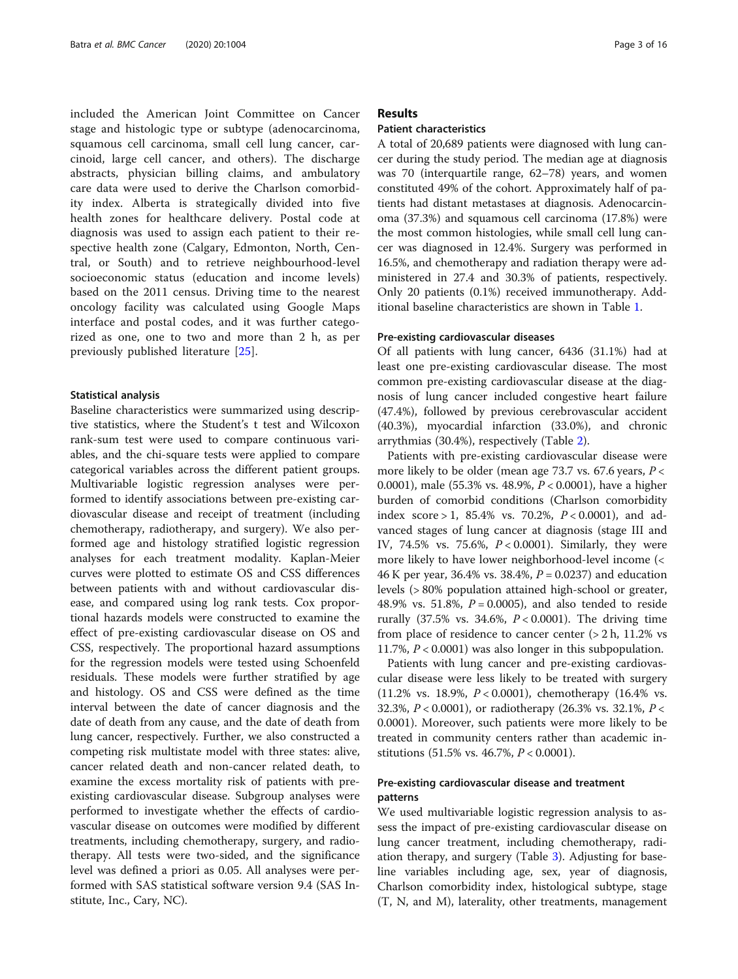included the American Joint Committee on Cancer stage and histologic type or subtype (adenocarcinoma, squamous cell carcinoma, small cell lung cancer, carcinoid, large cell cancer, and others). The discharge abstracts, physician billing claims, and ambulatory care data were used to derive the Charlson comorbidity index. Alberta is strategically divided into five health zones for healthcare delivery. Postal code at diagnosis was used to assign each patient to their respective health zone (Calgary, Edmonton, North, Central, or South) and to retrieve neighbourhood-level socioeconomic status (education and income levels) based on the 2011 census. Driving time to the nearest oncology facility was calculated using Google Maps interface and postal codes, and it was further categorized as one, one to two and more than 2 h, as per previously published literature [[25\]](#page-14-0).

### Statistical analysis

Baseline characteristics were summarized using descriptive statistics, where the Student's t test and Wilcoxon rank-sum test were used to compare continuous variables, and the chi-square tests were applied to compare categorical variables across the different patient groups. Multivariable logistic regression analyses were performed to identify associations between pre-existing cardiovascular disease and receipt of treatment (including chemotherapy, radiotherapy, and surgery). We also performed age and histology stratified logistic regression analyses for each treatment modality. Kaplan-Meier curves were plotted to estimate OS and CSS differences between patients with and without cardiovascular disease, and compared using log rank tests. Cox proportional hazards models were constructed to examine the effect of pre-existing cardiovascular disease on OS and CSS, respectively. The proportional hazard assumptions for the regression models were tested using Schoenfeld residuals. These models were further stratified by age and histology. OS and CSS were defined as the time interval between the date of cancer diagnosis and the date of death from any cause, and the date of death from lung cancer, respectively. Further, we also constructed a competing risk multistate model with three states: alive, cancer related death and non-cancer related death, to examine the excess mortality risk of patients with preexisting cardiovascular disease. Subgroup analyses were performed to investigate whether the effects of cardiovascular disease on outcomes were modified by different treatments, including chemotherapy, surgery, and radiotherapy. All tests were two-sided, and the significance level was defined a priori as 0.05. All analyses were performed with SAS statistical software version 9.4 (SAS Institute, Inc., Cary, NC).

### Results

### Patient characteristics

A total of 20,689 patients were diagnosed with lung cancer during the study period. The median age at diagnosis was 70 (interquartile range, 62–78) years, and women constituted 49% of the cohort. Approximately half of patients had distant metastases at diagnosis. Adenocarcinoma (37.3%) and squamous cell carcinoma (17.8%) were the most common histologies, while small cell lung cancer was diagnosed in 12.4%. Surgery was performed in 16.5%, and chemotherapy and radiation therapy were administered in 27.4 and 30.3% of patients, respectively. Only 20 patients (0.1%) received immunotherapy. Additional baseline characteristics are shown in Table [1.](#page-3-0)

### Pre-existing cardiovascular diseases

Of all patients with lung cancer, 6436 (31.1%) had at least one pre-existing cardiovascular disease. The most common pre-existing cardiovascular disease at the diagnosis of lung cancer included congestive heart failure (47.4%), followed by previous cerebrovascular accident (40.3%), myocardial infarction (33.0%), and chronic arrythmias (30.4%), respectively (Table [2\)](#page-5-0).

Patients with pre-existing cardiovascular disease were more likely to be older (mean age 73.7 vs. 67.6 years, P < 0.0001), male (55.3% vs. 48.9%, P < 0.0001), have a higher burden of comorbid conditions (Charlson comorbidity index score > 1, 85.4% vs. 70.2%,  $P < 0.0001$ ), and advanced stages of lung cancer at diagnosis (stage III and IV, 74.5% vs. 75.6%,  $P < 0.0001$ ). Similarly, they were more likely to have lower neighborhood-level income (< 46 K per year, 36.4% vs. 38.4%,  $P = 0.0237$  and education levels (> 80% population attained high-school or greater, 48.9% vs. 51.8%,  $P = 0.0005$ ), and also tended to reside rurally (37.5% vs. 34.6%,  $P < 0.0001$ ). The driving time from place of residence to cancer center  $(> 2 h, 11.2\%$  vs 11.7%,  $P < 0.0001$ ) was also longer in this subpopulation.

Patients with lung cancer and pre-existing cardiovascular disease were less likely to be treated with surgery (11.2% vs. 18.9%,  $P < 0.0001$ ), chemotherapy (16.4% vs. 32.3%,  $P < 0.0001$ ), or radiotherapy (26.3% vs. 32.1%,  $P <$ 0.0001). Moreover, such patients were more likely to be treated in community centers rather than academic institutions (51.5% vs. 46.7%, P < 0.0001).

### Pre-existing cardiovascular disease and treatment patterns

We used multivariable logistic regression analysis to assess the impact of pre-existing cardiovascular disease on lung cancer treatment, including chemotherapy, radiation therapy, and surgery (Table [3\)](#page-6-0). Adjusting for baseline variables including age, sex, year of diagnosis, Charlson comorbidity index, histological subtype, stage (T, N, and M), laterality, other treatments, management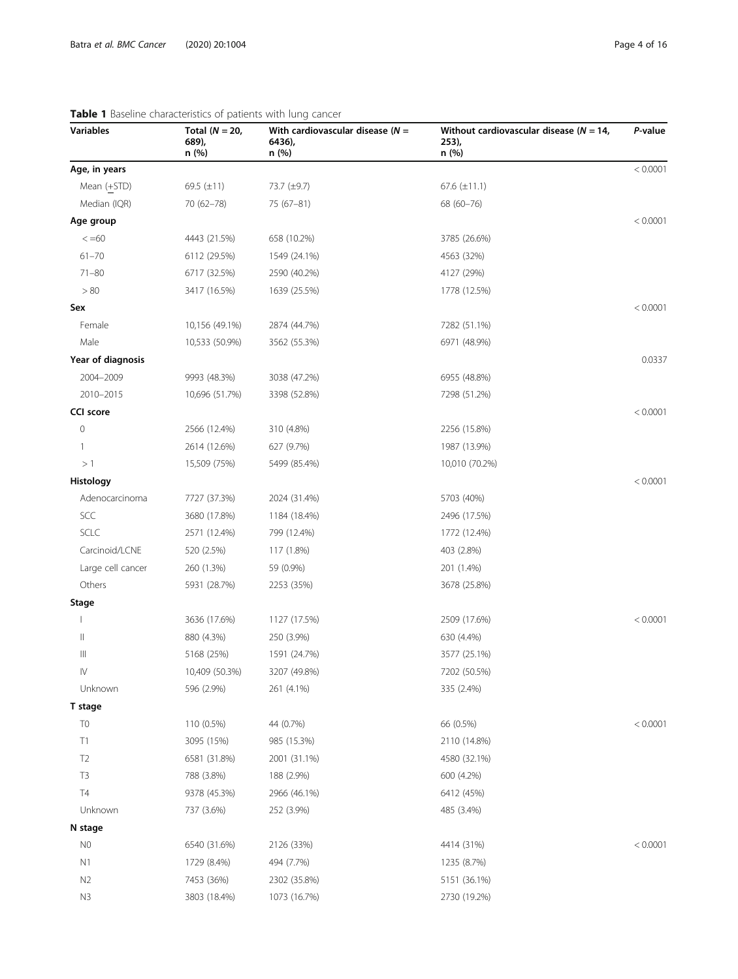| <b>Variables</b>  | Total ( $N = 20$ ,<br>689),<br>n (%) | With cardiovascular disease ( $N =$<br>6436),<br>n (%) | Without cardiovascular disease ( $N = 14$ ,<br>253,<br>n (%) | P-value  |
|-------------------|--------------------------------------|--------------------------------------------------------|--------------------------------------------------------------|----------|
| Age, in years     |                                      |                                                        |                                                              | < 0.0001 |
| Mean (+STD)       | 69.5 $(\pm 11)$                      | 73.7 (±9.7)                                            | 67.6 $(\pm 11.1)$                                            |          |
| Median (IQR)      | 70 (62-78)                           | $75(67-81)$                                            | 68 (60-76)                                                   |          |
| Age group         |                                      |                                                        |                                                              | < 0.0001 |
| $\leq 60$         | 4443 (21.5%)                         | 658 (10.2%)                                            | 3785 (26.6%)                                                 |          |
| $61 - 70$         | 6112 (29.5%)                         | 1549 (24.1%)                                           | 4563 (32%)                                                   |          |
| $71 - 80$         | 6717 (32.5%)                         | 2590 (40.2%)                                           | 4127 (29%)                                                   |          |
| > 80              | 3417 (16.5%)                         | 1639 (25.5%)                                           | 1778 (12.5%)                                                 |          |
| Sex               |                                      |                                                        |                                                              | < 0.0001 |
| Female            | 10,156 (49.1%)                       | 2874 (44.7%)                                           | 7282 (51.1%)                                                 |          |
| Male              | 10,533 (50.9%)                       | 3562 (55.3%)                                           | 6971 (48.9%)                                                 |          |
| Year of diagnosis |                                      |                                                        |                                                              | 0.0337   |
| 2004-2009         | 9993 (48.3%)                         | 3038 (47.2%)                                           | 6955 (48.8%)                                                 |          |
| 2010-2015         | 10,696 (51.7%)                       | 3398 (52.8%)                                           | 7298 (51.2%)                                                 |          |
| <b>CCI</b> score  |                                      |                                                        |                                                              | < 0.0001 |
| 0                 | 2566 (12.4%)                         | 310 (4.8%)                                             | 2256 (15.8%)                                                 |          |
| 1                 | 2614 (12.6%)                         | 627 (9.7%)                                             | 1987 (13.9%)                                                 |          |
| >1                | 15,509 (75%)                         | 5499 (85.4%)                                           | 10,010 (70.2%)                                               |          |
| Histology         |                                      |                                                        |                                                              | < 0.0001 |
| Adenocarcinoma    | 7727 (37.3%)                         | 2024 (31.4%)                                           | 5703 (40%)                                                   |          |
| SCC               | 3680 (17.8%)                         | 1184 (18.4%)                                           | 2496 (17.5%)                                                 |          |
| <b>SCLC</b>       | 2571 (12.4%)                         | 799 (12.4%)                                            | 1772 (12.4%)                                                 |          |
| Carcinoid/LCNE    | 520 (2.5%)                           | 117 (1.8%)                                             | 403 (2.8%)                                                   |          |
| Large cell cancer | 260 (1.3%)                           | 59 (0.9%)                                              | 201 (1.4%)                                                   |          |
| Others            | 5931 (28.7%)                         | 2253 (35%)                                             | 3678 (25.8%)                                                 |          |
| <b>Stage</b>      |                                      |                                                        |                                                              |          |
|                   | 3636 (17.6%)                         | 1127 (17.5%)                                           | 2509 (17.6%)                                                 | < 0.0001 |
| Ш                 | 880 (4.3%)                           | 250 (3.9%)                                             | 630 (4.4%)                                                   |          |
| Ш                 | 5168 (25%)                           | 1591 (24.7%)                                           | 3577 (25.1%)                                                 |          |
| IV                | 10,409 (50.3%)                       | 3207 (49.8%)                                           | 7202 (50.5%)                                                 |          |
| Unknown           | 596 (2.9%)                           | 261 (4.1%)                                             | 335 (2.4%)                                                   |          |
| T stage           |                                      |                                                        |                                                              |          |
| T <sub>0</sub>    | 110 (0.5%)                           | 44 (0.7%)                                              | 66 (0.5%)                                                    | < 0.0001 |
| T1                | 3095 (15%)                           | 985 (15.3%)                                            | 2110 (14.8%)                                                 |          |
| T <sub>2</sub>    | 6581 (31.8%)                         | 2001 (31.1%)                                           | 4580 (32.1%)                                                 |          |
| T <sub>3</sub>    | 788 (3.8%)                           | 188 (2.9%)                                             | 600 (4.2%)                                                   |          |
| <b>T4</b>         | 9378 (45.3%)                         | 2966 (46.1%)                                           | 6412 (45%)                                                   |          |
| Unknown           | 737 (3.6%)                           | 252 (3.9%)                                             | 485 (3.4%)                                                   |          |
| N stage           |                                      |                                                        |                                                              |          |
| N0                | 6540 (31.6%)                         | 2126 (33%)                                             | 4414 (31%)                                                   | < 0.0001 |
| N1                | 1729 (8.4%)                          | 494 (7.7%)                                             | 1235 (8.7%)                                                  |          |
| N <sub>2</sub>    | 7453 (36%)                           | 2302 (35.8%)                                           | 5151 (36.1%)                                                 |          |
| N3                | 3803 (18.4%)                         | 1073 (16.7%)                                           | 2730 (19.2%)                                                 |          |

## <span id="page-3-0"></span>Table 1 Baseline characteristics of patients with lu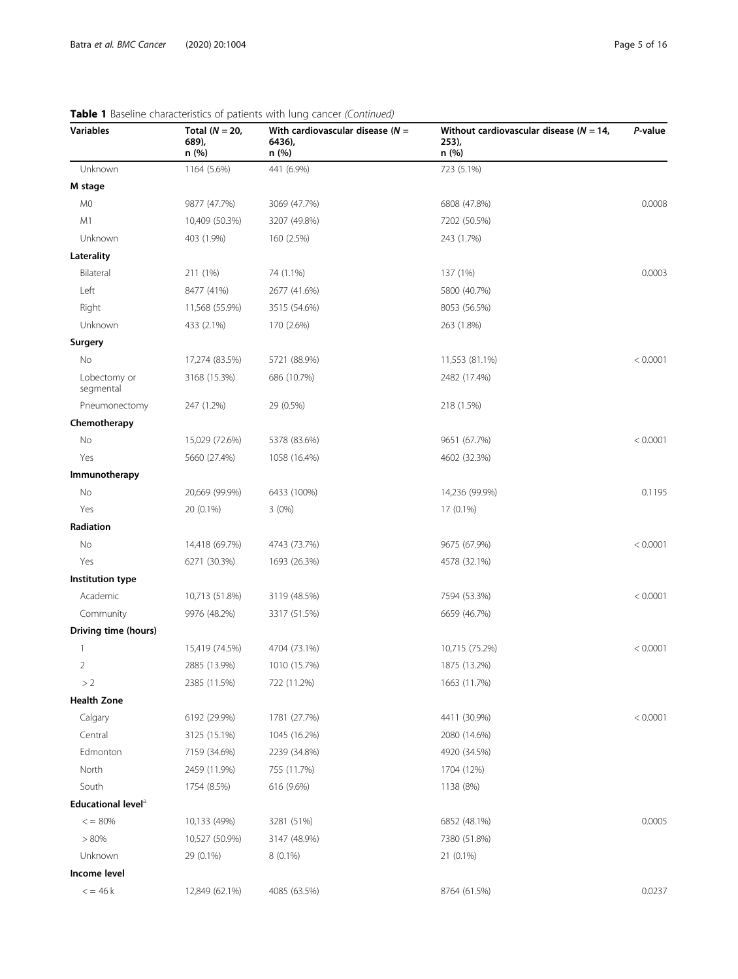| Variables                      | Total ( $N = 20$ ,<br>689),<br>n (%) | With cardiovascular disease ( $N =$<br>6436),<br>n (%) | Without cardiovascular disease ( $N = 14$ ,<br>253,<br>n (%) | P-value  |
|--------------------------------|--------------------------------------|--------------------------------------------------------|--------------------------------------------------------------|----------|
| Unknown                        | 1164 (5.6%)                          | 441 (6.9%)                                             | 723 (5.1%)                                                   |          |
| M stage                        |                                      |                                                        |                                                              |          |
| M0                             | 9877 (47.7%)                         | 3069 (47.7%)                                           | 6808 (47.8%)                                                 | 0.0008   |
| M1                             | 10,409 (50.3%)                       | 3207 (49.8%)                                           | 7202 (50.5%)                                                 |          |
| Unknown                        | 403 (1.9%)                           | 160 (2.5%)                                             | 243 (1.7%)                                                   |          |
| Laterality                     |                                      |                                                        |                                                              |          |
| Bilateral                      | 211 (1%)                             | 74 (1.1%)                                              | 137 (1%)                                                     | 0.0003   |
| Left                           | 8477 (41%)                           | 2677 (41.6%)                                           | 5800 (40.7%)                                                 |          |
| Right                          | 11,568 (55.9%)                       | 3515 (54.6%)                                           | 8053 (56.5%)                                                 |          |
| Unknown                        | 433 (2.1%)                           | 170 (2.6%)                                             | 263 (1.8%)                                                   |          |
| Surgery                        |                                      |                                                        |                                                              |          |
| No                             | 17,274 (83.5%)                       | 5721 (88.9%)                                           | 11,553 (81.1%)                                               | < 0.0001 |
| Lobectomy or<br>segmental      | 3168 (15.3%)                         | 686 (10.7%)                                            | 2482 (17.4%)                                                 |          |
| Pneumonectomy                  | 247 (1.2%)                           | 29 (0.5%)                                              | 218 (1.5%)                                                   |          |
| Chemotherapy                   |                                      |                                                        |                                                              |          |
| No                             | 15,029 (72.6%)                       | 5378 (83.6%)                                           | 9651 (67.7%)                                                 | < 0.0001 |
| Yes                            | 5660 (27.4%)                         | 1058 (16.4%)                                           | 4602 (32.3%)                                                 |          |
| Immunotherapy                  |                                      |                                                        |                                                              |          |
| No                             | 20,669 (99.9%)                       | 6433 (100%)                                            | 14,236 (99.9%)                                               | 0.1195   |
| Yes                            | 20 (0.1%)                            | 3(0%)                                                  | 17 (0.1%)                                                    |          |
| Radiation                      |                                      |                                                        |                                                              |          |
| No                             | 14,418 (69.7%)                       | 4743 (73.7%)                                           | 9675 (67.9%)                                                 | < 0.0001 |
| Yes                            | 6271 (30.3%)                         | 1693 (26.3%)                                           | 4578 (32.1%)                                                 |          |
| Institution type               |                                      |                                                        |                                                              |          |
| Academic                       | 10,713 (51.8%)                       | 3119 (48.5%)                                           | 7594 (53.3%)                                                 | < 0.0001 |
| Community                      | 9976 (48.2%)                         | 3317 (51.5%)                                           | 6659 (46.7%)                                                 |          |
| Driving time (hours)           |                                      |                                                        |                                                              |          |
| 1                              | 15,419 (74.5%)                       | 4704 (73.1%)                                           | 10,715 (75.2%)                                               | < 0.0001 |
| 2                              | 2885 (13.9%)                         | 1010 (15.7%)                                           | 1875 (13.2%)                                                 |          |
| >2                             | 2385 (11.5%)                         | 722 (11.2%)                                            | 1663 (11.7%)                                                 |          |
| <b>Health Zone</b>             |                                      |                                                        |                                                              |          |
| Calgary                        | 6192 (29.9%)                         | 1781 (27.7%)                                           | 4411 (30.9%)                                                 | < 0.0001 |
| Central                        | 3125 (15.1%)                         | 1045 (16.2%)                                           | 2080 (14.6%)                                                 |          |
| Edmonton                       | 7159 (34.6%)                         | 2239 (34.8%)                                           | 4920 (34.5%)                                                 |          |
| North                          | 2459 (11.9%)                         | 755 (11.7%)                                            | 1704 (12%)                                                   |          |
| South                          | 1754 (8.5%)                          | 616 (9.6%)                                             | 1138 (8%)                                                    |          |
| Educational level <sup>a</sup> |                                      |                                                        |                                                              |          |
| $\epsilon = 80\%$              | 10,133 (49%)                         | 3281 (51%)                                             | 6852 (48.1%)                                                 | 0.0005   |
| $> 80\%$                       | 10,527 (50.9%)                       | 3147 (48.9%)                                           | 7380 (51.8%)                                                 |          |
| Unknown                        | 29 (0.1%)                            | $8(0.1\%)$                                             | 21 (0.1%)                                                    |          |
| Income level                   |                                      |                                                        |                                                              |          |
| $\epsilon$ = 46 k              | 12,849 (62.1%)                       | 4085 (63.5%)                                           | 8764 (61.5%)                                                 | 0.0237   |

### Table 1 Baseline characteristics of patients with lung cancer (Continued)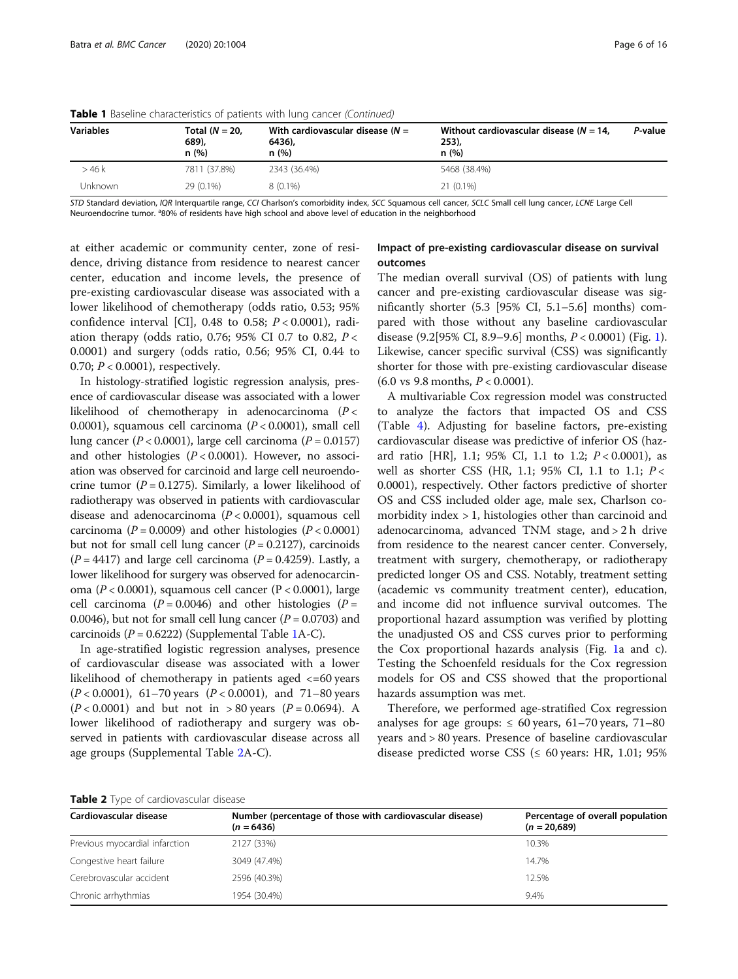| <b>Variables</b> | Total $(N = 20$<br>689),<br>n(%) | With cardiovascular disease ( $N =$<br>6436),<br>n(%) | Without cardiovascular disease ( $N = 14$ ,<br>253),<br>n(%) | P-value |
|------------------|----------------------------------|-------------------------------------------------------|--------------------------------------------------------------|---------|
| >46k             | 7811 (37.8%)                     | 2343 (36.4%)                                          | 5468 (38.4%)                                                 |         |
| Unknown          | 29 (0.1%)                        | $8(0.1\%)$                                            | $21(0.1\%)$                                                  |         |

<span id="page-5-0"></span>Table 1 Baseline characteristics of patients with lung cancer (Continued)

STD Standard deviation, IQR Interquartile range, CCI Charlson's comorbidity index, SCC Squamous cell cancer, SCLC Small cell lung cancer, LCNE Large Cell Neuroendocrine tumor. <sup>a</sup>80% of residents have high school and above level of education in the neighborhood

at either academic or community center, zone of residence, driving distance from residence to nearest cancer center, education and income levels, the presence of pre-existing cardiovascular disease was associated with a lower likelihood of chemotherapy (odds ratio, 0.53; 95% confidence interval [CI], 0.48 to 0.58;  $P < 0.0001$ ), radiation therapy (odds ratio, 0.76; 95% CI 0.7 to 0.82,  $P <$ 0.0001) and surgery (odds ratio, 0.56; 95% CI, 0.44 to 0.70;  $P < 0.0001$ ), respectively.

In histology-stratified logistic regression analysis, presence of cardiovascular disease was associated with a lower likelihood of chemotherapy in adenocarcinoma ( $P <$ 0.0001), squamous cell carcinoma  $(P < 0.0001)$ , small cell lung cancer ( $P < 0.0001$ ), large cell carcinoma ( $P = 0.0157$ ) and other histologies  $(P < 0.0001)$ . However, no association was observed for carcinoid and large cell neuroendocrine tumor ( $P = 0.1275$ ). Similarly, a lower likelihood of radiotherapy was observed in patients with cardiovascular disease and adenocarcinoma  $(P < 0.0001)$ , squamous cell carcinoma ( $P = 0.0009$ ) and other histologies ( $P < 0.0001$ ) but not for small cell lung cancer  $(P = 0.2127)$ , carcinoids  $(P = 4417)$  and large cell carcinoma  $(P = 0.4259)$ . Lastly, a lower likelihood for surgery was observed for adenocarcinoma ( $P < 0.0001$ ), squamous cell cancer ( $P < 0.0001$ ), large cell carcinoma ( $P = 0.0046$ ) and other histologies ( $P =$ 0.0046), but not for small cell lung cancer ( $P = 0.0703$ ) and carcinoids ( $P = 0.6222$ ) (Supplemental Table [1](#page-14-0)A-C).

In age-stratified logistic regression analyses, presence of cardiovascular disease was associated with a lower likelihood of chemotherapy in patients aged  $\lt$ =60 years  $(P < 0.0001)$ , 61–70 years  $(P < 0.0001)$ , and 71–80 years  $(P < 0.0001)$  and but not in > 80 years  $(P = 0.0694)$ . A lower likelihood of radiotherapy and surgery was observed in patients with cardiovascular disease across all age groups (Supplemental Table [2A](#page-14-0)-C).

### Impact of pre-existing cardiovascular disease on survival outcomes

The median overall survival (OS) of patients with lung cancer and pre-existing cardiovascular disease was significantly shorter (5.3 [95% CI, 5.1–5.6] months) compared with those without any baseline cardiovascular disease (9.2[95% CI, 8.9–9.6] months, P < 0.0001) (Fig. [1](#page-8-0)). Likewise, cancer specific survival (CSS) was significantly shorter for those with pre-existing cardiovascular disease  $(6.0 \text{ vs } 9.8 \text{ months}, P < 0.0001).$ 

A multivariable Cox regression model was constructed to analyze the factors that impacted OS and CSS (Table [4\)](#page-9-0). Adjusting for baseline factors, pre-existing cardiovascular disease was predictive of inferior OS (hazard ratio [HR], 1.1; 95% CI, 1.1 to 1.2;  $P < 0.0001$ ), as well as shorter CSS (HR, 1.1; 95% CI, 1.1 to 1.1; P < 0.0001), respectively. Other factors predictive of shorter OS and CSS included older age, male sex, Charlson comorbidity index > 1, histologies other than carcinoid and adenocarcinoma, advanced TNM stage, and > 2 h drive from residence to the nearest cancer center. Conversely, treatment with surgery, chemotherapy, or radiotherapy predicted longer OS and CSS. Notably, treatment setting (academic vs community treatment center), education, and income did not influence survival outcomes. The proportional hazard assumption was verified by plotting the unadjusted OS and CSS curves prior to performing the Cox proportional hazards analysis (Fig. [1a](#page-8-0) and c). Testing the Schoenfeld residuals for the Cox regression models for OS and CSS showed that the proportional hazards assumption was met.

Therefore, we performed age-stratified Cox regression analyses for age groups:  $\leq 60$  years, 61–70 years, 71–80 years and > 80 years. Presence of baseline cardiovascular disease predicted worse CSS ( $\leq 60$  years: HR, 1.01; 95%

Table 2 Type of cardiovascular disease

| Number (percentage of those with cardiovascular disease)<br>$(n = 6436)$ | Percentage of overall population<br>$(n = 20.689)$ |  |
|--------------------------------------------------------------------------|----------------------------------------------------|--|
| 2127 (33%)                                                               | 10.3%                                              |  |
| 3049 (47.4%)                                                             | 14.7%                                              |  |
| 2596 (40.3%)                                                             | 12.5%                                              |  |
| 1954 (30.4%)                                                             | 9.4%                                               |  |
|                                                                          |                                                    |  |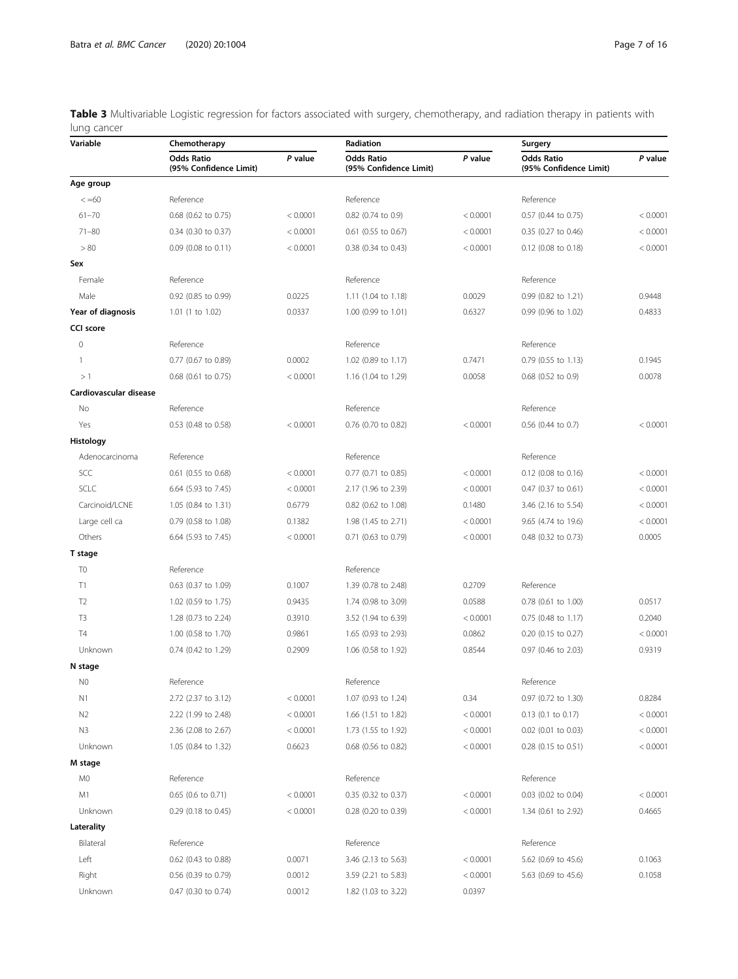<span id="page-6-0"></span>Table 3 Multivariable Logistic regression for factors associated with surgery, chemotherapy, and radiation therapy in patients with lung cancer

| Variable               | Chemotherapy                                |          | Radiation                                   |          | Surgery                                     |          |
|------------------------|---------------------------------------------|----------|---------------------------------------------|----------|---------------------------------------------|----------|
|                        | <b>Odds Ratio</b><br>(95% Confidence Limit) | P value  | <b>Odds Ratio</b><br>(95% Confidence Limit) | P value  | <b>Odds Ratio</b><br>(95% Confidence Limit) | P value  |
| Age group              |                                             |          |                                             |          |                                             |          |
| $\lt$ =60              | Reference                                   |          | Reference                                   |          | Reference                                   |          |
| $61 - 70$              | 0.68 (0.62 to 0.75)                         | < 0.0001 | 0.82 (0.74 to 0.9)                          | < 0.0001 | 0.57 (0.44 to 0.75)                         | < 0.0001 |
| $71 - 80$              | 0.34 (0.30 to 0.37)                         | < 0.0001 | 0.61 (0.55 to 0.67)                         | < 0.0001 | 0.35 (0.27 to 0.46)                         | < 0.0001 |
| > 80                   | 0.09 (0.08 to 0.11)                         | < 0.0001 | 0.38 (0.34 to 0.43)                         | < 0.0001 | 0.12 (0.08 to 0.18)                         | < 0.0001 |
| Sex                    |                                             |          |                                             |          |                                             |          |
| Female                 | Reference                                   |          | Reference                                   |          | Reference                                   |          |
| Male                   | 0.92 (0.85 to 0.99)                         | 0.0225   | 1.11 (1.04 to 1.18)                         | 0.0029   | 0.99 (0.82 to 1.21)                         | 0.9448   |
| Year of diagnosis      | 1.01 (1 to 1.02)                            | 0.0337   | 1.00 (0.99 to 1.01)                         | 0.6327   | 0.99 (0.96 to 1.02)                         | 0.4833   |
| <b>CCI score</b>       |                                             |          |                                             |          |                                             |          |
| 0                      | Reference                                   |          | Reference                                   |          | Reference                                   |          |
| $\mathbf{1}$           | 0.77 (0.67 to 0.89)                         | 0.0002   | 1.02 (0.89 to 1.17)                         | 0.7471   | 0.79 (0.55 to 1.13)                         | 0.1945   |
| >1                     | 0.68 (0.61 to 0.75)                         | < 0.0001 | 1.16 (1.04 to 1.29)                         | 0.0058   | 0.68 (0.52 to 0.9)                          | 0.0078   |
| Cardiovascular disease |                                             |          |                                             |          |                                             |          |
| No                     | Reference                                   |          | Reference                                   |          | Reference                                   |          |
| Yes                    | 0.53 (0.48 to 0.58)                         | < 0.0001 | 0.76 (0.70 to 0.82)                         | < 0.0001 | 0.56 (0.44 to 0.7)                          | < 0.0001 |
| Histology              |                                             |          |                                             |          |                                             |          |
| Adenocarcinoma         | Reference                                   |          | Reference                                   |          | Reference                                   |          |
| SCC                    | 0.61 (0.55 to 0.68)                         | < 0.0001 | 0.77 (0.71 to 0.85)                         | < 0.0001 | 0.12 (0.08 to 0.16)                         | < 0.0001 |
| SCLC                   | 6.64 (5.93 to 7.45)                         | < 0.0001 | 2.17 (1.96 to 2.39)                         | < 0.0001 | 0.47 (0.37 to 0.61)                         | < 0.0001 |
| Carcinoid/LCNE         | 1.05 (0.84 to 1.31)                         | 0.6779   | 0.82 (0.62 to 1.08)                         | 0.1480   | 3.46 (2.16 to 5.54)                         | < 0.0001 |
| Large cell ca          | 0.79 (0.58 to 1.08)                         | 0.1382   | 1.98 (1.45 to 2.71)                         | < 0.0001 | 9.65 (4.74 to 19.6)                         | < 0.0001 |
| Others                 | 6.64 (5.93 to 7.45)                         | < 0.0001 | 0.71 (0.63 to 0.79)                         | < 0.0001 | 0.48 (0.32 to 0.73)                         | 0.0005   |
| T stage                |                                             |          |                                             |          |                                             |          |
| T <sub>0</sub>         | Reference                                   |          | Reference                                   |          |                                             |          |
| T1                     | 0.63 (0.37 to 1.09)                         | 0.1007   | 1.39 (0.78 to 2.48)                         | 0.2709   | Reference                                   |          |
| T <sub>2</sub>         | 1.02 (0.59 to 1.75)                         | 0.9435   | 1.74 (0.98 to 3.09)                         | 0.0588   | 0.78 (0.61 to 1.00)                         | 0.0517   |
| T <sub>3</sub>         | 1.28 (0.73 to 2.24)                         | 0.3910   | 3.52 (1.94 to 6.39)                         | < 0.0001 | 0.75 (0.48 to 1.17)                         | 0.2040   |
| T <sub>4</sub>         | 1.00 (0.58 to 1.70)                         | 0.9861   | 1.65 (0.93 to 2.93)                         | 0.0862   | 0.20 (0.15 to 0.27)                         | < 0.0001 |
| Unknown                | 0.74 (0.42 to 1.29)                         | 0.2909   | 1.06 (0.58 to 1.92)                         | 0.8544   | 0.97 (0.46 to 2.03)                         | 0.9319   |
| N stage                |                                             |          |                                             |          |                                             |          |
| N <sub>0</sub>         | Reference                                   |          | Reference                                   |          | Reference                                   |          |
| N1                     | 2.72 (2.37 to 3.12)                         | < 0.0001 | 1.07 (0.93 to 1.24)                         | 0.34     | 0.97 (0.72 to 1.30)                         | 0.8284   |
| N2                     | 2.22 (1.99 to 2.48)                         | < 0.0001 | 1.66 (1.51 to 1.82)                         | < 0.0001 | 0.13 (0.1 to 0.17)                          | < 0.0001 |
| N3                     | 2.36 (2.08 to 2.67)                         | < 0.0001 | 1.73 (1.55 to 1.92)                         | < 0.0001 | $0.02$ (0.01 to 0.03)                       | < 0.0001 |
| Unknown                | 1.05 (0.84 to 1.32)                         | 0.6623   | 0.68 (0.56 to 0.82)                         | < 0.0001 | 0.28 (0.15 to 0.51)                         | < 0.0001 |
| M stage                |                                             |          |                                             |          |                                             |          |
| M0                     | Reference                                   |          | Reference                                   |          | Reference                                   |          |
| M1                     | 0.65 (0.6 to 0.71)                          | < 0.0001 | 0.35 (0.32 to 0.37)                         | < 0.0001 | 0.03 (0.02 to 0.04)                         | < 0.0001 |
| Unknown                | 0.29 (0.18 to 0.45)                         | < 0.0001 | 0.28 (0.20 to 0.39)                         | < 0.0001 | 1.34 (0.61 to 2.92)                         | 0.4665   |
| Laterality             |                                             |          |                                             |          |                                             |          |
| Bilateral              | Reference                                   |          | Reference                                   |          | Reference                                   |          |
| Left                   | 0.62 (0.43 to 0.88)                         | 0.0071   | 3.46 (2.13 to 5.63)                         | < 0.0001 | 5.62 (0.69 to 45.6)                         | 0.1063   |
| Right                  | 0.56 (0.39 to 0.79)                         | 0.0012   | 3.59 (2.21 to 5.83)                         | < 0.0001 | 5.63 (0.69 to 45.6)                         | 0.1058   |
| Unknown                | 0.47 (0.30 to 0.74)                         | 0.0012   | 1.82 (1.03 to 3.22)                         | 0.0397   |                                             |          |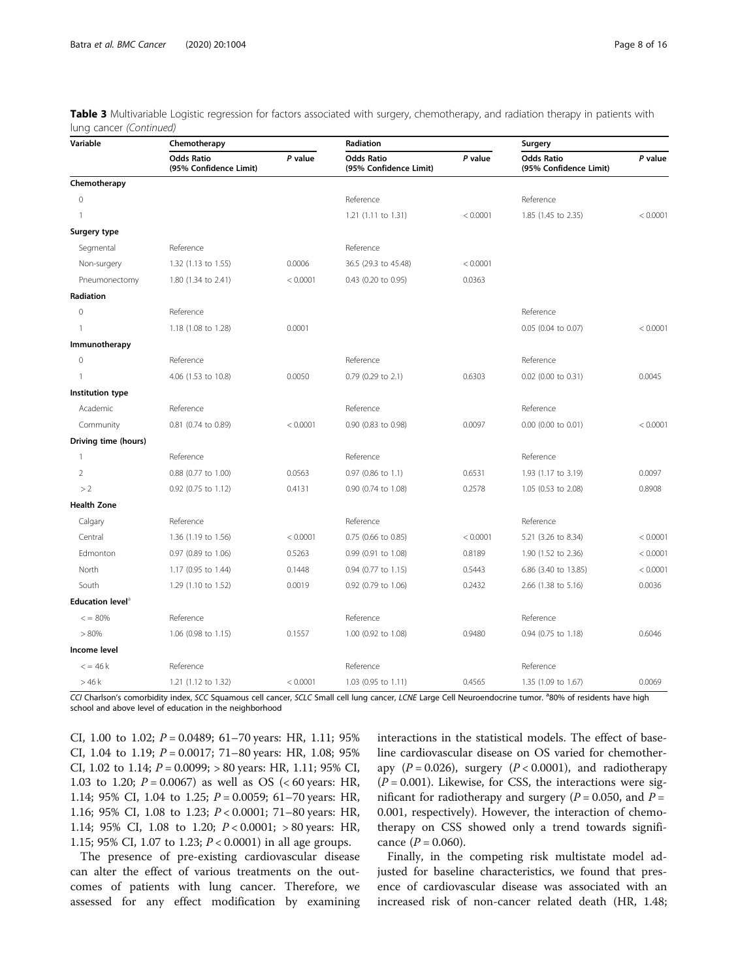Table 3 Multivariable Logistic regression for factors associated with surgery, chemotherapy, and radiation therapy in patients with lung cancer (Continued)

| Variable                     | Chemotherapy                                |          | Radiation                                   |          | Surgery                                     |          |
|------------------------------|---------------------------------------------|----------|---------------------------------------------|----------|---------------------------------------------|----------|
|                              | <b>Odds Ratio</b><br>(95% Confidence Limit) | P value  | <b>Odds Ratio</b><br>(95% Confidence Limit) | P value  | <b>Odds Ratio</b><br>(95% Confidence Limit) | P value  |
| Chemotherapy                 |                                             |          |                                             |          |                                             |          |
| $\mathbf 0$                  |                                             |          | Reference                                   |          | Reference                                   |          |
| $\mathbf{1}$                 |                                             |          | 1.21 (1.11 to 1.31)                         | < 0.0001 | 1.85 (1.45 to 2.35)                         | < 0.0001 |
| Surgery type                 |                                             |          |                                             |          |                                             |          |
| Segmental                    | Reference                                   |          | Reference                                   |          |                                             |          |
| Non-surgery                  | 1.32 (1.13 to 1.55)                         | 0.0006   | 36.5 (29.3 to 45.48)                        | < 0.0001 |                                             |          |
| Pneumonectomy                | 1.80 (1.34 to 2.41)                         | < 0.0001 | 0.43 (0.20 to 0.95)                         | 0.0363   |                                             |          |
| Radiation                    |                                             |          |                                             |          |                                             |          |
| $\mathbf{0}$                 | Reference                                   |          |                                             |          | Reference                                   |          |
| $\mathbf{1}$                 | 1.18 (1.08 to 1.28)                         | 0.0001   |                                             |          | 0.05 (0.04 to 0.07)                         | < 0.0001 |
| Immunotherapy                |                                             |          |                                             |          |                                             |          |
| $\mathbf 0$                  | Reference                                   |          | Reference                                   |          | Reference                                   |          |
| $\overline{1}$               | 4.06 (1.53 to 10.8)                         | 0.0050   | 0.79 (0.29 to 2.1)                          | 0.6303   | 0.02 (0.00 to 0.31)                         | 0.0045   |
| Institution type             |                                             |          |                                             |          |                                             |          |
| Academic                     | Reference                                   |          | Reference                                   |          | Reference                                   |          |
| Community                    | 0.81 (0.74 to 0.89)                         | < 0.0001 | 0.90 (0.83 to 0.98)                         | 0.0097   | 0.00 (0.00 to 0.01)                         | < 0.0001 |
| Driving time (hours)         |                                             |          |                                             |          |                                             |          |
| $\overline{1}$               | Reference                                   |          | Reference                                   |          | Reference                                   |          |
| $\overline{2}$               | 0.88 (0.77 to 1.00)                         | 0.0563   | 0.97 (0.86 to 1.1)                          | 0.6531   | 1.93 (1.17 to 3.19)                         | 0.0097   |
| >2                           | 0.92 (0.75 to 1.12)                         | 0.4131   | 0.90 (0.74 to 1.08)                         | 0.2578   | 1.05 (0.53 to 2.08)                         | 0.8908   |
| <b>Health Zone</b>           |                                             |          |                                             |          |                                             |          |
| Calgary                      | Reference                                   |          | Reference                                   |          | Reference                                   |          |
| Central                      | 1.36 (1.19 to 1.56)                         | < 0.0001 | 0.75 (0.66 to 0.85)                         | < 0.0001 | 5.21 (3.26 to 8.34)                         | < 0.0001 |
| Edmonton                     | 0.97 (0.89 to 1.06)                         | 0.5263   | 0.99 (0.91 to 1.08)                         | 0.8189   | 1.90 (1.52 to 2.36)                         | < 0.0001 |
| North                        | 1.17 (0.95 to 1.44)                         | 0.1448   | 0.94 (0.77 to 1.15)                         | 0.5443   | 6.86 (3.40 to 13.85)                        | < 0.0001 |
| South                        | 1.29 (1.10 to 1.52)                         | 0.0019   | 0.92 (0.79 to 1.06)                         | 0.2432   | 2.66 (1.38 to 5.16)                         | 0.0036   |
| Education level <sup>a</sup> |                                             |          |                                             |          |                                             |          |
| $\leq$ = 80%                 | Reference                                   |          | Reference                                   |          | Reference                                   |          |
| > 80%                        | 1.06 (0.98 to 1.15)                         | 0.1557   | 1.00 (0.92 to 1.08)                         | 0.9480   | 0.94 (0.75 to 1.18)                         | 0.6046   |
| Income level                 |                                             |          |                                             |          |                                             |          |
| $\epsilon$ = 46 k            | Reference                                   |          | Reference                                   |          | Reference                                   |          |
| >46k                         | 1.21 (1.12 to 1.32)                         | < 0.0001 | 1.03 (0.95 to 1.11)                         | 0.4565   | 1.35 (1.09 to 1.67)                         | 0.0069   |

CCI Charlson's comorbidity index, SCC Squamous cell cancer, SCLC Small cell lung cancer, LCNE Large Cell Neuroendocrine tumor. <sup>a</sup>80% of residents have high school and above level of education in the neighborhood

CI, 1.00 to 1.02;  $P = 0.0489$ ; 61-70 years: HR, 1.11; 95% CI, 1.04 to 1.19;  $P = 0.0017$ ; 71–80 years: HR, 1.08; 95% CI, 1.02 to 1.14;  $P = 0.0099$ ; > 80 years: HR, 1.11; 95% CI, 1.03 to 1.20;  $P = 0.0067$ ) as well as OS (<60 years: HR, 1.14; 95% CI, 1.04 to 1.25;  $P = 0.0059$ ; 61-70 years: HR, 1.16; 95% CI, 1.08 to 1.23; P < 0.0001; 71–80 years: HR, 1.14; 95% CI, 1.08 to 1.20; P < 0.0001; > 80 years: HR, 1.15; 95% CI, 1.07 to 1.23; P < 0.0001) in all age groups.

The presence of pre-existing cardiovascular disease can alter the effect of various treatments on the outcomes of patients with lung cancer. Therefore, we assessed for any effect modification by examining

interactions in the statistical models. The effect of baseline cardiovascular disease on OS varied for chemotherapy ( $P = 0.026$ ), surgery ( $P < 0.0001$ ), and radiotherapy  $(P = 0.001)$ . Likewise, for CSS, the interactions were significant for radiotherapy and surgery ( $P = 0.050$ , and  $P =$ 0.001, respectively). However, the interaction of chemotherapy on CSS showed only a trend towards significance  $(P = 0.060)$ .

Finally, in the competing risk multistate model adjusted for baseline characteristics, we found that presence of cardiovascular disease was associated with an increased risk of non-cancer related death (HR, 1.48;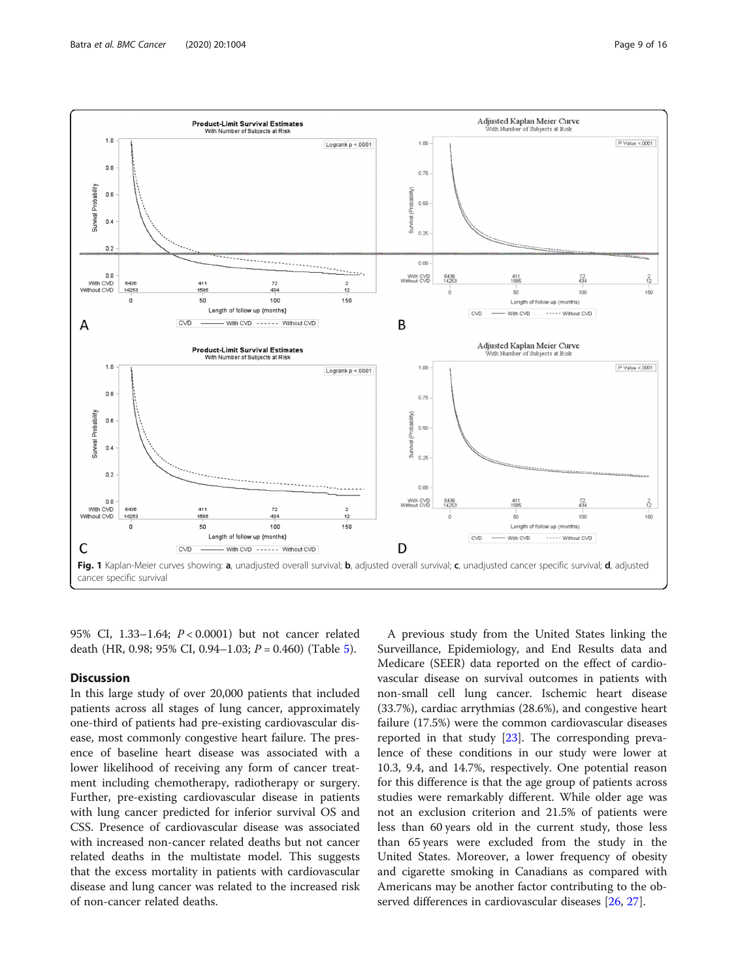<span id="page-8-0"></span> $1.0$ 

 $0.8$ 

 $0.4$ 

 $0.2$ 

 $0.0$ 

 $14253$ 

With CVD<br>Without CVD

A

Survival Probability  $0.6$ 





95% CI, 1.33–1.64; P < 0.0001) but not cancer related death (HR, 0.98; 9[5](#page-11-0)% CI, 0.94–1.03;  $P = 0.460$ ) (Table 5).

### **Discussion**

In this large study of over 20,000 patients that included patients across all stages of lung cancer, approximately one-third of patients had pre-existing cardiovascular disease, most commonly congestive heart failure. The presence of baseline heart disease was associated with a lower likelihood of receiving any form of cancer treatment including chemotherapy, radiotherapy or surgery. Further, pre-existing cardiovascular disease in patients with lung cancer predicted for inferior survival OS and CSS. Presence of cardiovascular disease was associated with increased non-cancer related deaths but not cancer related deaths in the multistate model. This suggests that the excess mortality in patients with cardiovascular disease and lung cancer was related to the increased risk of non-cancer related deaths.

A previous study from the United States linking the Surveillance, Epidemiology, and End Results data and Medicare (SEER) data reported on the effect of cardiovascular disease on survival outcomes in patients with non-small cell lung cancer. Ischemic heart disease (33.7%), cardiac arrythmias (28.6%), and congestive heart failure (17.5%) were the common cardiovascular diseases reported in that study [\[23\]](#page-14-0). The corresponding prevalence of these conditions in our study were lower at 10.3, 9.4, and 14.7%, respectively. One potential reason for this difference is that the age group of patients across studies were remarkably different. While older age was not an exclusion criterion and 21.5% of patients were less than 60 years old in the current study, those less than 65 years were excluded from the study in the United States. Moreover, a lower frequency of obesity and cigarette smoking in Canadians as compared with Americans may be another factor contributing to the observed differences in cardiovascular diseases [\[26](#page-14-0), [27\]](#page-14-0).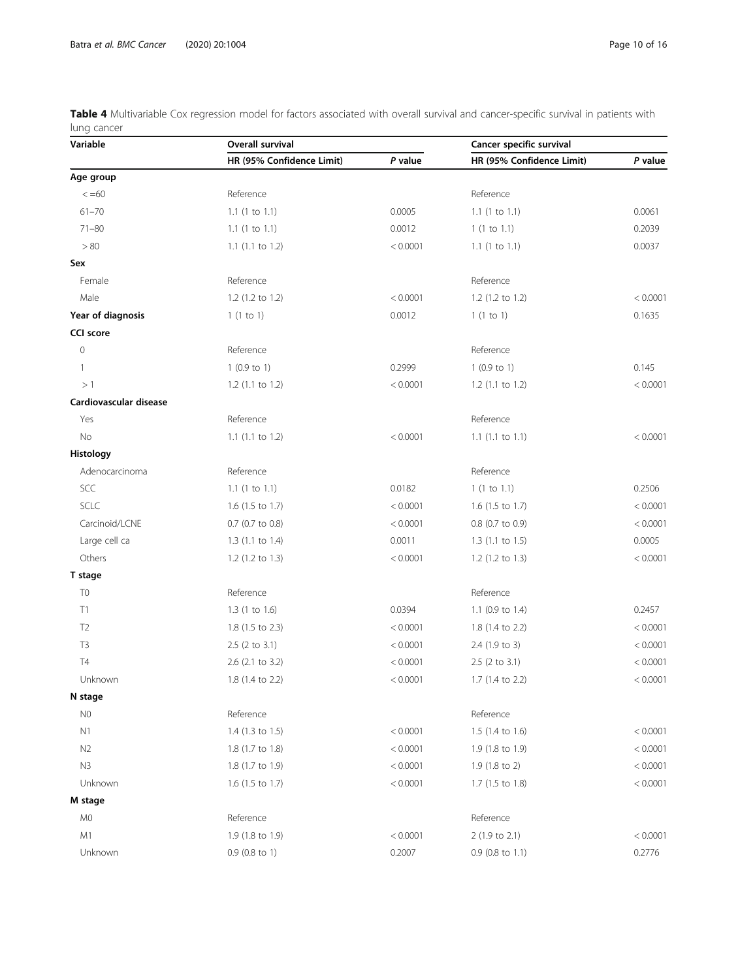<span id="page-9-0"></span>Table 4 Multivariable Cox regression model for factors associated with overall survival and cancer-specific survival in patients with lung cancer

| Variable               | Overall survival          |          | Cancer specific survival  |          |  |
|------------------------|---------------------------|----------|---------------------------|----------|--|
|                        | HR (95% Confidence Limit) | P value  | HR (95% Confidence Limit) | P value  |  |
| Age group              |                           |          |                           |          |  |
| $\leq 60$              | Reference                 |          | Reference                 |          |  |
| $61 - 70$              | $1.1$ (1 to $1.1$ )       | 0.0005   | $1.1$ (1 to $1.1$ )       | 0.0061   |  |
| $71 - 80$              | $1.1$ (1 to 1.1)          | 0.0012   | 1(1 to 1.1)               | 0.2039   |  |
| > 80                   | $1.1$ (1.1 to 1.2)        | < 0.0001 | $1.1$ (1 to 1.1)          | 0.0037   |  |
| Sex                    |                           |          |                           |          |  |
| Female                 | Reference                 |          | Reference                 |          |  |
| Male                   | 1.2 (1.2 to 1.2)          | < 0.0001 | 1.2 (1.2 to 1.2)          | < 0.0001 |  |
| Year of diagnosis      | 1(1 to 1)                 | 0.0012   | 1(1 to 1)                 | 0.1635   |  |
| <b>CCI score</b>       |                           |          |                           |          |  |
| $\mathsf{O}\xspace$    | Reference                 |          | Reference                 |          |  |
| 1                      | $1(0.9 \text{ to } 1)$    | 0.2999   | $1(0.9 \text{ to } 1)$    | 0.145    |  |
| >1                     | 1.2 (1.1 to 1.2)          | < 0.0001 | $1.2$ (1.1 to 1.2)        | < 0.0001 |  |
| Cardiovascular disease |                           |          |                           |          |  |
| Yes                    | Reference                 |          | Reference                 |          |  |
| No                     | $1.1$ (1.1 to 1.2)        | < 0.0001 | $1.1$ (1.1 to 1.1)        | < 0.0001 |  |
| Histology              |                           |          |                           |          |  |
| Adenocarcinoma         | Reference                 |          | Reference                 |          |  |
| SCC                    | $1.1$ (1 to $1.1$ )       | 0.0182   | 1(1 to 1.1)               | 0.2506   |  |
| SCLC                   | 1.6 (1.5 to 1.7)          | < 0.0001 | $1.6$ (1.5 to 1.7)        | < 0.0001 |  |
| Carcinoid/LCNE         | 0.7 (0.7 to 0.8)          | < 0.0001 | 0.8 (0.7 to 0.9)          | < 0.0001 |  |
| Large cell ca          | $1.3$ (1.1 to 1.4)        | 0.0011   | $1.3$ (1.1 to 1.5)        | 0.0005   |  |
| Others                 | 1.2 (1.2 to 1.3)          | < 0.0001 | 1.2 (1.2 to 1.3)          | < 0.0001 |  |
| T stage                |                           |          |                           |          |  |
| T <sub>0</sub>         | Reference                 |          | Reference                 |          |  |
| T1                     | $1.3$ (1 to 1.6)          | 0.0394   | 1.1 (0.9 to 1.4)          | 0.2457   |  |
| T <sub>2</sub>         | 1.8 (1.5 to 2.3)          | < 0.0001 | 1.8 (1.4 to 2.2)          | < 0.0001 |  |
| T <sub>3</sub>         | 2.5 (2 to 3.1)            | < 0.0001 | 2.4 (1.9 to 3)            | < 0.0001 |  |
| <b>T4</b>              | 2.6 (2.1 to 3.2)          | < 0.0001 | 2.5 (2 to 3.1)            | < 0.0001 |  |
| Unknown                | 1.8 (1.4 to 2.2)          | < 0.0001 | 1.7 (1.4 to 2.2)          | < 0.0001 |  |
| N stage                |                           |          |                           |          |  |
| N <sub>0</sub>         | Reference                 |          | Reference                 |          |  |
| N1                     | 1.4 (1.3 to 1.5)          | < 0.0001 | 1.5 (1.4 to 1.6)          | < 0.0001 |  |
| N <sub>2</sub>         | 1.8 (1.7 to 1.8)          | < 0.0001 | 1.9 (1.8 to 1.9)          | < 0.0001 |  |
| N3                     | 1.8 (1.7 to 1.9)          | < 0.0001 | 1.9 (1.8 to 2)            | < 0.0001 |  |
| Unknown                | 1.6 (1.5 to 1.7)          | < 0.0001 | 1.7 (1.5 to 1.8)          | < 0.0001 |  |
| M stage                |                           |          |                           |          |  |
| M0                     | Reference                 |          | Reference                 |          |  |
| M1                     | 1.9 (1.8 to 1.9)          | < 0.0001 | 2 (1.9 to 2.1)            | < 0.0001 |  |
| Unknown                | $0.9$ (0.8 to 1)          | 0.2007   | $0.9$ (0.8 to 1.1)        | 0.2776   |  |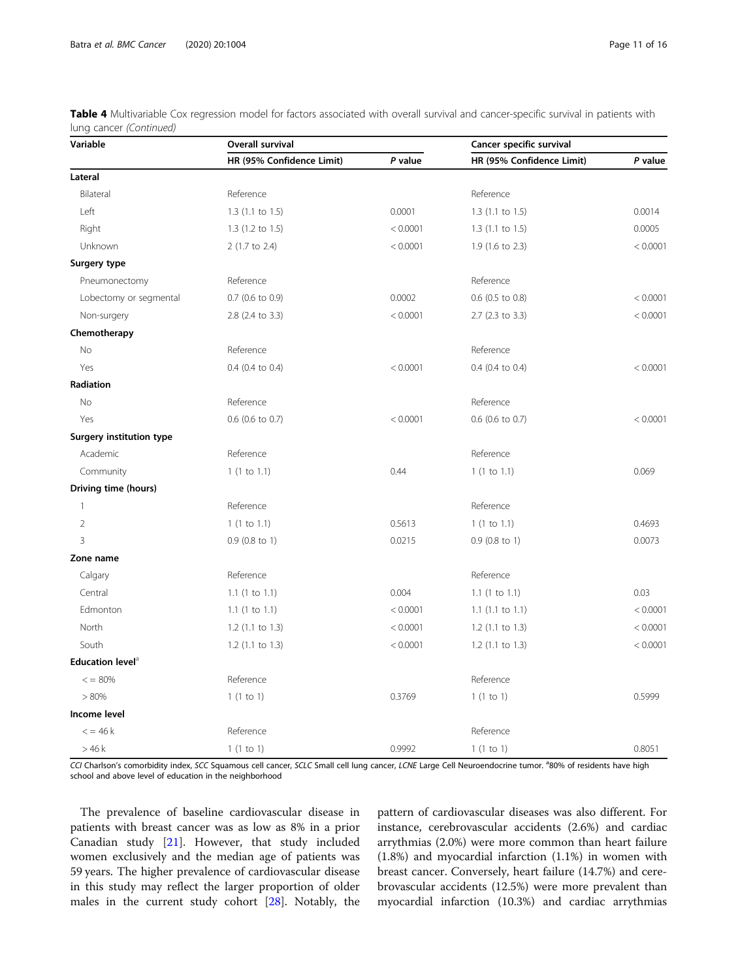| Variable                        | Overall survival          |          | Cancer specific survival  |          |  |
|---------------------------------|---------------------------|----------|---------------------------|----------|--|
|                                 | HR (95% Confidence Limit) | P value  | HR (95% Confidence Limit) | P value  |  |
| Lateral                         |                           |          |                           |          |  |
| Bilateral                       | Reference                 |          | Reference                 |          |  |
| Left                            | $1.3$ (1.1 to 1.5)        | 0.0001   | $1.3$ (1.1 to 1.5)        | 0.0014   |  |
| Right                           | 1.3 (1.2 to 1.5)          | < 0.0001 | $1.3$ (1.1 to 1.5)        | 0.0005   |  |
| Unknown                         | 2 (1.7 to 2.4)            | < 0.0001 | 1.9 (1.6 to 2.3)          | < 0.0001 |  |
| Surgery type                    |                           |          |                           |          |  |
| Pneumonectomy                   | Reference                 |          | Reference                 |          |  |
| Lobectomy or segmental          | $0.7$ (0.6 to 0.9)        | 0.0002   | $0.6$ (0.5 to 0.8)        | < 0.0001 |  |
| Non-surgery                     | 2.8 (2.4 to 3.3)          | < 0.0001 | 2.7 (2.3 to 3.3)          | < 0.0001 |  |
| Chemotherapy                    |                           |          |                           |          |  |
| No                              | Reference                 |          | Reference                 |          |  |
| Yes                             | 0.4 (0.4 to 0.4)          | < 0.0001 | 0.4 (0.4 to 0.4)          | < 0.0001 |  |
| Radiation                       |                           |          |                           |          |  |
| No                              | Reference                 |          | Reference                 |          |  |
| Yes                             | 0.6 (0.6 to 0.7)          | < 0.0001 | 0.6 (0.6 to 0.7)          | < 0.0001 |  |
| <b>Surgery institution type</b> |                           |          |                           |          |  |
| Academic                        | Reference                 |          | Reference                 |          |  |
| Community                       | 1(1 to 1.1)               | 0.44     | 1(1 to 1.1)               | 0.069    |  |
| Driving time (hours)            |                           |          |                           |          |  |
| $\mathbf{1}$                    | Reference                 |          | Reference                 |          |  |
| $\overline{2}$                  | 1(1 to 1.1)               | 0.5613   | 1(1 to 1.1)               | 0.4693   |  |
| $\overline{3}$                  | $0.9$ (0.8 to 1)          | 0.0215   | $0.9$ (0.8 to 1)          | 0.0073   |  |
| Zone name                       |                           |          |                           |          |  |
| Calgary                         | Reference                 |          | Reference                 |          |  |
| Central                         | $1.1$ (1 to 1.1)          | 0.004    | $1.1$ (1 to 1.1)          | 0.03     |  |
| Edmonton                        | $1.1$ (1 to 1.1)          | < 0.0001 | $1.1$ (1.1 to 1.1)        | < 0.0001 |  |
| North                           | $1.2$ (1.1 to 1.3)        | < 0.0001 | 1.2 (1.1 to 1.3)          | < 0.0001 |  |
| South                           | $1.2$ (1.1 to 1.3)        | < 0.0001 | $1.2$ (1.1 to 1.3)        | < 0.0001 |  |
| Education level <sup>a</sup>    |                           |          |                           |          |  |
| $\epsilon$ = 80%                | Reference                 |          | Reference                 |          |  |
| >80%                            | 1(1 to 1)                 | 0.3769   | 1(1 to 1)                 | 0.5999   |  |
| Income level                    |                           |          |                           |          |  |
| $\epsilon$ = 46 k               | Reference                 |          | Reference                 |          |  |
| >46k                            | 1(1 to 1)                 | 0.9992   | 1(1 to 1)                 | 0.8051   |  |

Table 4 Multivariable Cox regression model for factors associated with overall survival and cancer-specific survival in patients with lung cancer (Continued)

CCI Charlson's comorbidity index, SCC Squamous cell cancer, SCLC Small cell lung cancer, LCNE Large Cell Neuroendocrine tumor. <sup>a</sup>80% of residents have high school and above level of education in the neighborhood

The prevalence of baseline cardiovascular disease in patients with breast cancer was as low as 8% in a prior Canadian study [[21\]](#page-14-0). However, that study included women exclusively and the median age of patients was 59 years. The higher prevalence of cardiovascular disease in this study may reflect the larger proportion of older males in the current study cohort [[28\]](#page-14-0). Notably, the

pattern of cardiovascular diseases was also different. For instance, cerebrovascular accidents (2.6%) and cardiac arrythmias (2.0%) were more common than heart failure (1.8%) and myocardial infarction (1.1%) in women with breast cancer. Conversely, heart failure (14.7%) and cerebrovascular accidents (12.5%) were more prevalent than myocardial infarction (10.3%) and cardiac arrythmias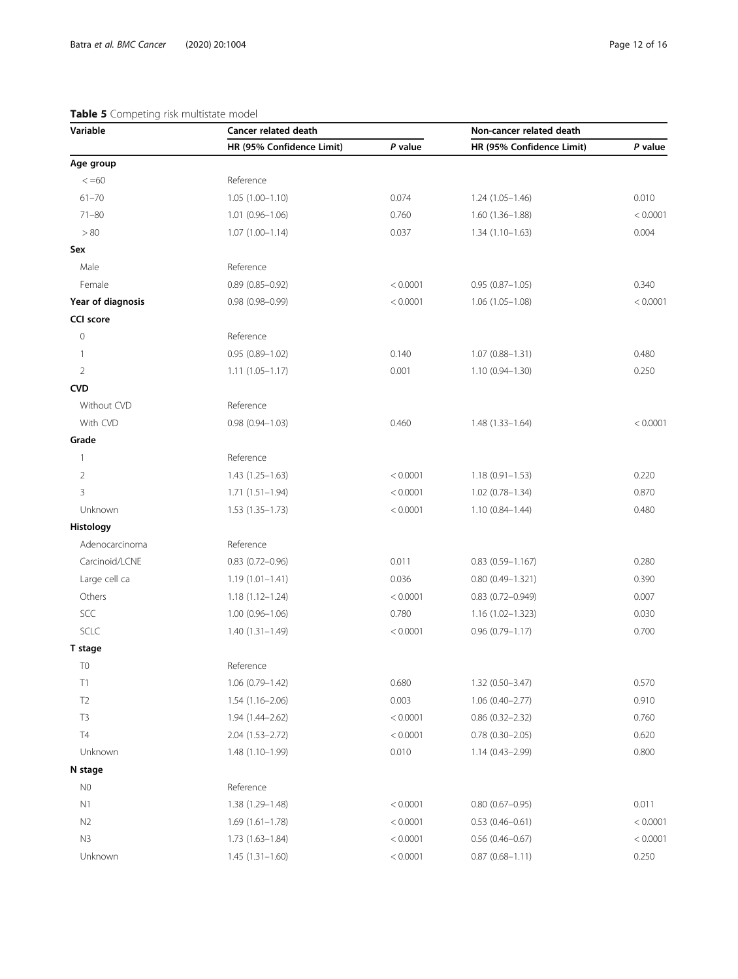### <span id="page-11-0"></span>Table 5 Competing risk multistate model

| Variable          | Cancer related death      |          | Non-cancer related death  |          |
|-------------------|---------------------------|----------|---------------------------|----------|
|                   | HR (95% Confidence Limit) | P value  | HR (95% Confidence Limit) | P value  |
| Age group         |                           |          |                           |          |
| $\leq 60$         | Reference                 |          |                           |          |
| $61 - 70$         | $1.05(1.00 - 1.10)$       | 0.074    | $1.24(1.05 - 1.46)$       | 0.010    |
| $71 - 80$         | $1.01(0.96 - 1.06)$       | 0.760    | $1.60(1.36 - 1.88)$       | < 0.0001 |
| > 80              | $1.07(1.00 - 1.14)$       | 0.037    | $1.34(1.10-1.63)$         | 0.004    |
| Sex               |                           |          |                           |          |
| Male              | Reference                 |          |                           |          |
| Female            | $0.89(0.85 - 0.92)$       | < 0.0001 | $0.95(0.87 - 1.05)$       | 0.340    |
| Year of diagnosis | $0.98(0.98 - 0.99)$       | < 0.0001 | $1.06(1.05 - 1.08)$       | < 0.0001 |
| <b>CCI</b> score  |                           |          |                           |          |
| $\mathbf 0$       | Reference                 |          |                           |          |
| 1                 | $0.95(0.89 - 1.02)$       | 0.140    | $1.07(0.88 - 1.31)$       | 0.480    |
| $\overline{2}$    | $1.11(1.05 - 1.17)$       | 0.001    | $1.10(0.94 - 1.30)$       | 0.250    |
| <b>CVD</b>        |                           |          |                           |          |
| Without CVD       | Reference                 |          |                           |          |
| With CVD          | $0.98(0.94 - 1.03)$       | 0.460    | $1.48(1.33 - 1.64)$       | < 0.0001 |
| Grade             |                           |          |                           |          |
| 1                 | Reference                 |          |                           |          |
| $\overline{2}$    | $1.43(1.25 - 1.63)$       | < 0.0001 | $1.18(0.91 - 1.53)$       | 0.220    |
| 3                 | $1.71(1.51 - 1.94)$       | < 0.0001 | $1.02$ (0.78-1.34)        | 0.870    |
| Unknown           | $1.53(1.35 - 1.73)$       | < 0.0001 | $1.10(0.84 - 1.44)$       | 0.480    |
| Histology         |                           |          |                           |          |
| Adenocarcinoma    | Reference                 |          |                           |          |
| Carcinoid/LCNE    | $0.83$ (0.72-0.96)        | 0.011    | $0.83(0.59 - 1.167)$      | 0.280    |
| Large cell ca     | $1.19(1.01 - 1.41)$       | 0.036    | $0.80(0.49 - 1.321)$      | 0.390    |
| Others            | $1.18(1.12 - 1.24)$       | < 0.0001 | $0.83(0.72 - 0.949)$      | 0.007    |
| SCC               | $1.00(0.96 - 1.06)$       | 0.780    | $1.16(1.02 - 1.323)$      | 0.030    |
| SCLC              | $1.40(1.31 - 1.49)$       | < 0.0001 | $0.96(0.79 - 1.17)$       | 0.700    |
| T stage           |                           |          |                           |          |
| T <sub>0</sub>    | Reference                 |          |                           |          |
| T1                | 1.06 (0.79-1.42)          | 0.680    | 1.32 (0.50-3.47)          | 0.570    |
| T <sub>2</sub>    | 1.54 (1.16-2.06)          | 0.003    | 1.06 (0.40-2.77)          | 0.910    |
| T <sub>3</sub>    | 1.94 (1.44-2.62)          | < 0.0001 | $0.86$ $(0.32 - 2.32)$    | 0.760    |
| T4                | $2.04(1.53 - 2.72)$       | < 0.0001 | $0.78(0.30 - 2.05)$       | 0.620    |
| Unknown           | $1.48(1.10-1.99)$         | 0.010    | $1.14(0.43 - 2.99)$       | 0.800    |
| N stage           |                           |          |                           |          |
| N0                | Reference                 |          |                           |          |
| N1                | 1.38 (1.29-1.48)          | < 0.0001 | $0.80(0.67 - 0.95)$       | 0.011    |
| N <sub>2</sub>    | $1.69(1.61-1.78)$         | < 0.0001 | $0.53(0.46 - 0.61)$       | < 0.0001 |
| N3                | $1.73(1.63 - 1.84)$       | < 0.0001 | $0.56$ (0.46-0.67)        | < 0.0001 |
| Unknown           | $1.45(1.31 - 1.60)$       | < 0.0001 | $0.87(0.68 - 1.11)$       | 0.250    |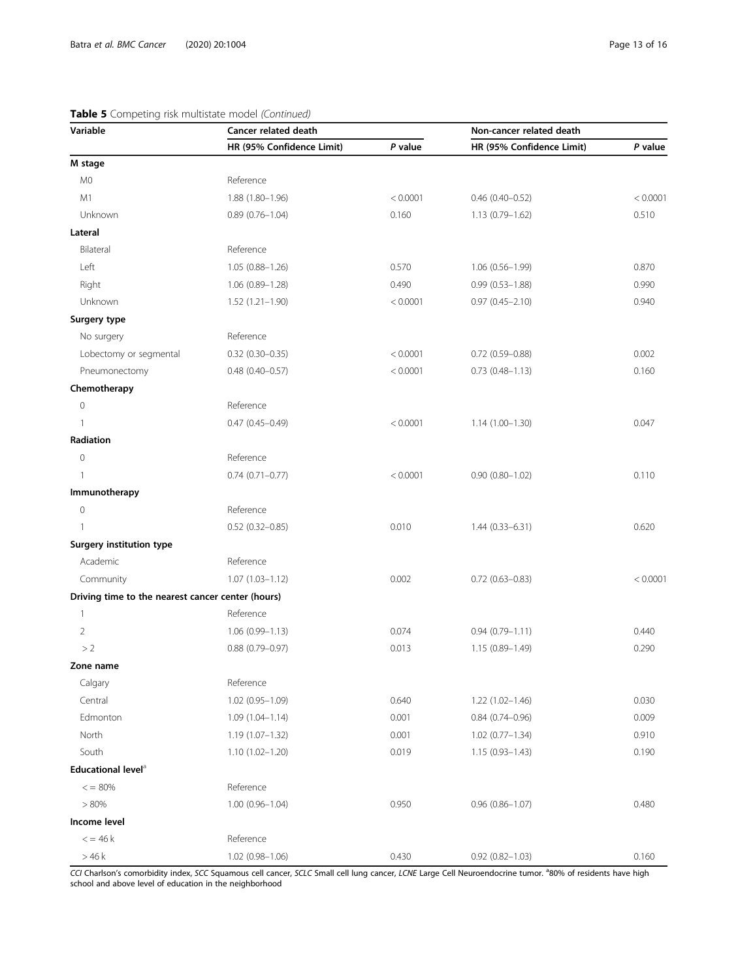### Table 5 Competing risk multistate model (Continued)

| Variable                                          | <b>Cancer related death</b> |          | Non-cancer related death  |          |
|---------------------------------------------------|-----------------------------|----------|---------------------------|----------|
|                                                   | HR (95% Confidence Limit)   | P value  | HR (95% Confidence Limit) | P value  |
| M stage                                           |                             |          |                           |          |
| M <sub>0</sub>                                    | Reference                   |          |                           |          |
| M1                                                | 1.88 (1.80-1.96)            | < 0.0001 | $0.46(0.40-0.52)$         | < 0.0001 |
| Unknown                                           | $0.89(0.76 - 1.04)$         | 0.160    | $1.13(0.79 - 1.62)$       | 0.510    |
| Lateral                                           |                             |          |                           |          |
| Bilateral                                         | Reference                   |          |                           |          |
| Left                                              | $1.05(0.88 - 1.26)$         | 0.570    | $1.06(0.56 - 1.99)$       | 0.870    |
| Right                                             | $1.06(0.89 - 1.28)$         | 0.490    | $0.99(0.53 - 1.88)$       | 0.990    |
| Unknown                                           | $1.52(1.21 - 1.90)$         | < 0.0001 | $0.97(0.45 - 2.10)$       | 0.940    |
| Surgery type                                      |                             |          |                           |          |
| No surgery                                        | Reference                   |          |                           |          |
| Lobectomy or segmental                            | $0.32$ (0.30-0.35)          | < 0.0001 | $0.72$ (0.59-0.88)        | 0.002    |
| Pneumonectomy                                     | $0.48$ (0.40-0.57)          | < 0.0001 | $0.73(0.48 - 1.13)$       | 0.160    |
| Chemotherapy                                      |                             |          |                           |          |
| $\mathbf 0$                                       | Reference                   |          |                           |          |
| $\mathbf{1}$                                      | $0.47(0.45 - 0.49)$         | < 0.0001 | $1.14(1.00 - 1.30)$       | 0.047    |
| Radiation                                         |                             |          |                           |          |
| $\mathbf{0}$                                      | Reference                   |          |                           |          |
| 1                                                 | $0.74(0.71 - 0.77)$         | < 0.0001 | $0.90(0.80 - 1.02)$       | 0.110    |
| Immunotherapy                                     |                             |          |                           |          |
| $\mathbf{0}$                                      | Reference                   |          |                           |          |
| 1                                                 | $0.52$ (0.32-0.85)          | 0.010    | $1.44(0.33 - 6.31)$       | 0.620    |
| <b>Surgery institution type</b>                   |                             |          |                           |          |
| Academic                                          | Reference                   |          |                           |          |
| Community                                         | $1.07(1.03 - 1.12)$         | 0.002    | $0.72(0.63 - 0.83)$       | < 0.0001 |
| Driving time to the nearest cancer center (hours) |                             |          |                           |          |
| $\mathbf{1}$                                      | Reference                   |          |                           |          |
| $\overline{2}$                                    | $1.06(0.99 - 1.13)$         | 0.074    | $0.94(0.79 - 1.11)$       | 0.440    |
| >2                                                | $0.88(0.79 - 0.97)$         | 0.013    | $1.15(0.89 - 1.49)$       | 0.290    |
| Zone name                                         |                             |          |                           |          |
| Calgary                                           | Reference                   |          |                           |          |
| Central                                           | 1.02 (0.95-1.09)            | 0.640    | 1.22 (1.02-1.46)          | 0.030    |
| Edmonton                                          | $1.09(1.04 - 1.14)$         | 0.001    | $0.84(0.74 - 0.96)$       | 0.009    |
| North                                             | $1.19(1.07 - 1.32)$         | 0.001    | $1.02$ (0.77-1.34)        | 0.910    |
| South                                             | $1.10(1.02 - 1.20)$         | 0.019    | $1.15(0.93 - 1.43)$       | 0.190    |
| Educational level <sup>a</sup>                    |                             |          |                           |          |
| $\epsilon = 80\%$                                 | Reference                   |          |                           |          |
| > 80%                                             | 1.00 (0.96-1.04)            | 0.950    | $0.96(0.86 - 1.07)$       | 0.480    |
| Income level                                      |                             |          |                           |          |
| $\epsilon$ = 46 k                                 | Reference                   |          |                           |          |
| >46k                                              | $1.02(0.98 - 1.06)$         | 0.430    | $0.92(0.82 - 1.03)$       | 0.160    |

CCI Charlson's comorbidity index, SCC Squamous cell cancer, SCLC Small cell lung cancer, LCNE Large Cell Neuroendocrine tumor. <sup>a</sup>80% of residents have high school and above level of education in the neighborhood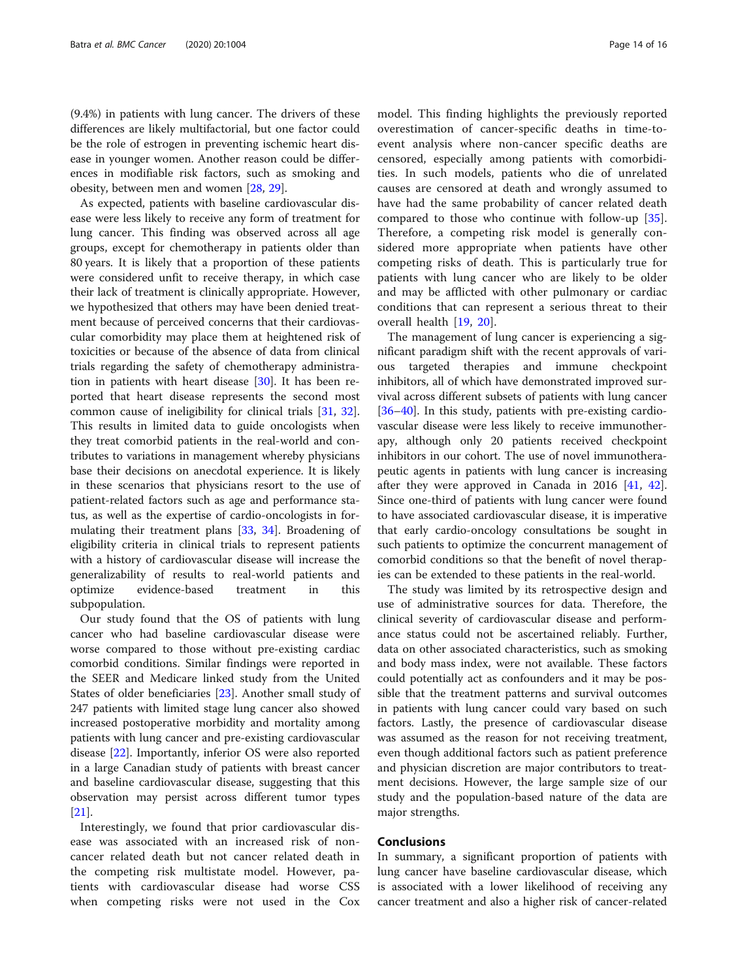(9.4%) in patients with lung cancer. The drivers of these differences are likely multifactorial, but one factor could be the role of estrogen in preventing ischemic heart disease in younger women. Another reason could be differences in modifiable risk factors, such as smoking and obesity, between men and women [[28,](#page-14-0) [29\]](#page-14-0).

As expected, patients with baseline cardiovascular disease were less likely to receive any form of treatment for lung cancer. This finding was observed across all age groups, except for chemotherapy in patients older than 80 years. It is likely that a proportion of these patients were considered unfit to receive therapy, in which case their lack of treatment is clinically appropriate. However, we hypothesized that others may have been denied treatment because of perceived concerns that their cardiovascular comorbidity may place them at heightened risk of toxicities or because of the absence of data from clinical trials regarding the safety of chemotherapy administration in patients with heart disease [\[30\]](#page-14-0). It has been reported that heart disease represents the second most common cause of ineligibility for clinical trials [[31](#page-14-0), [32](#page-15-0)]. This results in limited data to guide oncologists when they treat comorbid patients in the real-world and contributes to variations in management whereby physicians base their decisions on anecdotal experience. It is likely in these scenarios that physicians resort to the use of patient-related factors such as age and performance status, as well as the expertise of cardio-oncologists in formulating their treatment plans [[33,](#page-15-0) [34](#page-15-0)]. Broadening of eligibility criteria in clinical trials to represent patients with a history of cardiovascular disease will increase the generalizability of results to real-world patients and optimize evidence-based treatment in this subpopulation.

Our study found that the OS of patients with lung cancer who had baseline cardiovascular disease were worse compared to those without pre-existing cardiac comorbid conditions. Similar findings were reported in the SEER and Medicare linked study from the United States of older beneficiaries [[23](#page-14-0)]. Another small study of 247 patients with limited stage lung cancer also showed increased postoperative morbidity and mortality among patients with lung cancer and pre-existing cardiovascular disease [[22\]](#page-14-0). Importantly, inferior OS were also reported in a large Canadian study of patients with breast cancer and baseline cardiovascular disease, suggesting that this observation may persist across different tumor types  $|21|$ .

Interestingly, we found that prior cardiovascular disease was associated with an increased risk of noncancer related death but not cancer related death in the competing risk multistate model. However, patients with cardiovascular disease had worse CSS when competing risks were not used in the Cox model. This finding highlights the previously reported overestimation of cancer-specific deaths in time-toevent analysis where non-cancer specific deaths are censored, especially among patients with comorbidities. In such models, patients who die of unrelated causes are censored at death and wrongly assumed to have had the same probability of cancer related death compared to those who continue with follow-up [\[35](#page-15-0)]. Therefore, a competing risk model is generally considered more appropriate when patients have other competing risks of death. This is particularly true for patients with lung cancer who are likely to be older and may be afflicted with other pulmonary or cardiac conditions that can represent a serious threat to their overall health [\[19](#page-14-0), [20](#page-14-0)].

The management of lung cancer is experiencing a significant paradigm shift with the recent approvals of various targeted therapies and immune checkpoint inhibitors, all of which have demonstrated improved survival across different subsets of patients with lung cancer [[36](#page-15-0)–[40](#page-15-0)]. In this study, patients with pre-existing cardiovascular disease were less likely to receive immunotherapy, although only 20 patients received checkpoint inhibitors in our cohort. The use of novel immunotherapeutic agents in patients with lung cancer is increasing after they were approved in Canada in 2016 [\[41](#page-15-0), [42](#page-15-0)]. Since one-third of patients with lung cancer were found to have associated cardiovascular disease, it is imperative that early cardio-oncology consultations be sought in such patients to optimize the concurrent management of comorbid conditions so that the benefit of novel therapies can be extended to these patients in the real-world.

The study was limited by its retrospective design and use of administrative sources for data. Therefore, the clinical severity of cardiovascular disease and performance status could not be ascertained reliably. Further, data on other associated characteristics, such as smoking and body mass index, were not available. These factors could potentially act as confounders and it may be possible that the treatment patterns and survival outcomes in patients with lung cancer could vary based on such factors. Lastly, the presence of cardiovascular disease was assumed as the reason for not receiving treatment, even though additional factors such as patient preference and physician discretion are major contributors to treatment decisions. However, the large sample size of our study and the population-based nature of the data are major strengths.

### **Conclusions**

In summary, a significant proportion of patients with lung cancer have baseline cardiovascular disease, which is associated with a lower likelihood of receiving any cancer treatment and also a higher risk of cancer-related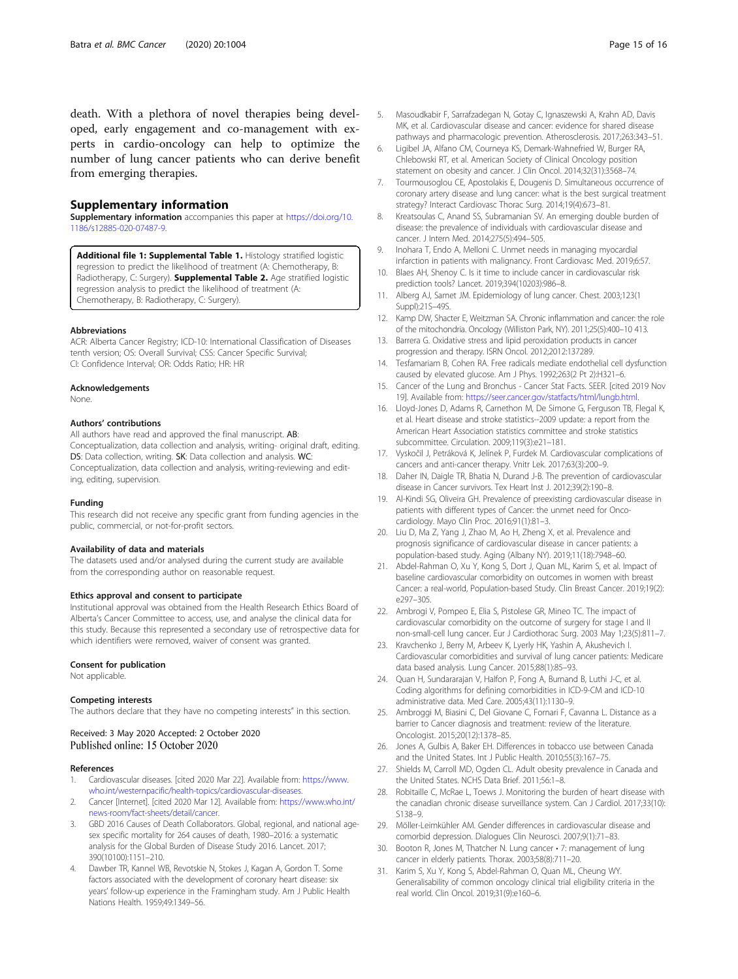<span id="page-14-0"></span>death. With a plethora of novel therapies being developed, early engagement and co-management with experts in cardio-oncology can help to optimize the number of lung cancer patients who can derive benefit from emerging therapies.

#### Supplementary information

Supplementary information accompanies this paper at [https://doi.org/10.](https://doi.org/10.1186/s12885-020-07487-9) [1186/s12885-020-07487-9](https://doi.org/10.1186/s12885-020-07487-9).

Additional file 1: Supplemental Table 1. Histology stratified logistic regression to predict the likelihood of treatment (A: Chemotherapy, B: Radiotherapy, C: Surgery). **Supplemental Table 2.** Age stratified logistic regression analysis to predict the likelihood of treatment (A: Chemotherapy, B: Radiotherapy, C: Surgery).

#### Abbreviations

ACR: Alberta Cancer Registry; ICD-10: International Classification of Diseases tenth version; OS: Overall Survival; CSS: Cancer Specific Survival; CI: Confidence Interval; OR: Odds Ratio; HR: HR

#### Acknowledgements

None.

### Authors' contributions

All authors have read and approved the final manuscript. AB: Conceptualization, data collection and analysis, writing- original draft, editing. DS: Data collection, writing. SK: Data collection and analysis. WC: Conceptualization, data collection and analysis, writing-reviewing and editing, editing, supervision.

#### Funding

This research did not receive any specific grant from funding agencies in the public, commercial, or not-for-profit sectors.

### Availability of data and materials

The datasets used and/or analysed during the current study are available from the corresponding author on reasonable request.

#### Ethics approval and consent to participate

Institutional approval was obtained from the Health Research Ethics Board of Alberta's Cancer Committee to access, use, and analyse the clinical data for this study. Because this represented a secondary use of retrospective data for which identifiers were removed, waiver of consent was granted.

#### Consent for publication

Not applicable.

#### Competing interests

The authors declare that they have no competing interests" in this section.

### Received: 3 May 2020 Accepted: 2 October 2020 Published online: 15 October 2020

#### References

- 1. Cardiovascular diseases. [cited 2020 Mar 22]. Available from: [https://www.](https://www.who.int/westernpacific/health-topics/cardiovascular-diseases) [who.int/westernpacific/health-topics/cardiovascular-diseases](https://www.who.int/westernpacific/health-topics/cardiovascular-diseases).
- 2. Cancer [Internet]. [cited 2020 Mar 12]. Available from: [https://www.who.int/](https://www.who.int/news-room/fact-sheets/detail/cancer) [news-room/fact-sheets/detail/cancer](https://www.who.int/news-room/fact-sheets/detail/cancer).
- 3. GBD 2016 Causes of Death Collaborators. Global, regional, and national agesex specific mortality for 264 causes of death, 1980–2016: a systematic analysis for the Global Burden of Disease Study 2016. Lancet. 2017; 390(10100):1151–210.
- 4. Dawber TR, Kannel WB, Revotskie N, Stokes J, Kagan A, Gordon T. Some factors associated with the development of coronary heart disease: six years' follow-up experience in the Framingham study. Am J Public Health Nations Health. 1959;49:1349–56.
- 5. Masoudkabir F, Sarrafzadegan N, Gotay C, Ignaszewski A, Krahn AD, Davis MK, et al. Cardiovascular disease and cancer: evidence for shared disease pathways and pharmacologic prevention. Atherosclerosis. 2017;263:343–51.
- 6. Ligibel JA, Alfano CM, Courneya KS, Demark-Wahnefried W, Burger RA, Chlebowski RT, et al. American Society of Clinical Oncology position statement on obesity and cancer. J Clin Oncol. 2014;32(31):3568–74.
- 7. Tourmousoglou CE, Apostolakis E, Dougenis D. Simultaneous occurrence of coronary artery disease and lung cancer: what is the best surgical treatment strategy? Interact Cardiovasc Thorac Surg. 2014;19(4):673–81.
- 8. Kreatsoulas C, Anand SS, Subramanian SV. An emerging double burden of disease: the prevalence of individuals with cardiovascular disease and cancer. J Intern Med. 2014;275(5):494–505.
- 9. Inohara T, Endo A, Melloni C. Unmet needs in managing myocardial infarction in patients with malignancy. Front Cardiovasc Med. 2019;6:57.
- 10. Blaes AH, Shenoy C. Is it time to include cancer in cardiovascular risk prediction tools? Lancet. 2019;394(10203):986–8.
- 11. Alberg AJ, Samet JM. Epidemiology of lung cancer. Chest. 2003;123(1 Suppl):21S–49S.
- 12. Kamp DW, Shacter E, Weitzman SA. Chronic inflammation and cancer: the role of the mitochondria. Oncology (Williston Park, NY). 2011;25(5):400–10 413.
- 13. Barrera G. Oxidative stress and lipid peroxidation products in cancer progression and therapy. ISRN Oncol. 2012;2012:137289.
- 14. Tesfamariam B, Cohen RA. Free radicals mediate endothelial cell dysfunction caused by elevated glucose. Am J Phys. 1992;263(2 Pt 2):H321–6.
- 15. Cancer of the Lung and Bronchus Cancer Stat Facts. SEER. [cited 2019 Nov 19]. Available from: [https://seer.cancer.gov/statfacts/html/lungb.html.](https://seer.cancer.gov/statfacts/html/lungb.html)
- 16. Lloyd-Jones D, Adams R, Carnethon M, De Simone G, Ferguson TB, Flegal K, et al. Heart disease and stroke statistics--2009 update: a report from the American Heart Association statistics committee and stroke statistics subcommittee. Circulation. 2009;119(3):e21–181.
- 17. Vyskočil J, Petráková K, Jelínek P, Furdek M. Cardiovascular complications of cancers and anti-cancer therapy. Vnitr Lek. 2017;63(3):200–9.
- 18. Daher IN, Daigle TR, Bhatia N, Durand J-B. The prevention of cardiovascular disease in Cancer survivors. Tex Heart Inst J. 2012;39(2):190–8.
- 19. Al-Kindi SG, Oliveira GH. Prevalence of preexisting cardiovascular disease in patients with different types of Cancer: the unmet need for Oncocardiology. Mayo Clin Proc. 2016;91(1):81–3.
- 20. Liu D, Ma Z, Yang J, Zhao M, Ao H, Zheng X, et al. Prevalence and prognosis significance of cardiovascular disease in cancer patients: a population-based study. Aging (Albany NY). 2019;11(18):7948–60.
- 21. Abdel-Rahman O, Xu Y, Kong S, Dort J, Quan ML, Karim S, et al. Impact of baseline cardiovascular comorbidity on outcomes in women with breast Cancer: a real-world, Population-based Study. Clin Breast Cancer. 2019;19(2): e297–305.
- 22. Ambrogi V, Pompeo E, Elia S, Pistolese GR, Mineo TC. The impact of cardiovascular comorbidity on the outcome of surgery for stage I and II non-small-cell lung cancer. Eur J Cardiothorac Surg. 2003 May 1;23(5):811–7.
- 23. Kravchenko J, Berry M, Arbeev K, Lyerly HK, Yashin A, Akushevich I. Cardiovascular comorbidities and survival of lung cancer patients: Medicare data based analysis. Lung Cancer. 2015;88(1):85–93.
- 24. Quan H, Sundararajan V, Halfon P, Fong A, Burnand B, Luthi J-C, et al. Coding algorithms for defining comorbidities in ICD-9-CM and ICD-10 administrative data. Med Care. 2005;43(11):1130–9.
- 25. Ambroggi M, Biasini C, Del Giovane C, Fornari F, Cavanna L. Distance as a barrier to Cancer diagnosis and treatment: review of the literature. Oncologist. 2015;20(12):1378–85.
- 26. Jones A, Gulbis A, Baker EH. Differences in tobacco use between Canada and the United States. Int J Public Health. 2010;55(3):167–75.
- 27. Shields M, Carroll MD, Ogden CL. Adult obesity prevalence in Canada and the United States. NCHS Data Brief. 2011;56:1–8.
- 28. Robitaille C, McRae L, Toews J. Monitoring the burden of heart disease with the canadian chronic disease surveillance system. Can J Cardiol. 2017;33(10): S138–9.
- 29. Möller-Leimkühler AM. Gender differences in cardiovascular disease and comorbid depression. Dialogues Clin Neurosci. 2007;9(1):71–83.
- 30. Booton R, Jones M, Thatcher N. Lung cancer 7: management of lung cancer in elderly patients. Thorax. 2003;58(8):711–20.
- 31. Karim S, Xu Y, Kong S, Abdel-Rahman O, Quan ML, Cheung WY. Generalisability of common oncology clinical trial eligibility criteria in the real world. Clin Oncol. 2019;31(9):e160–6.